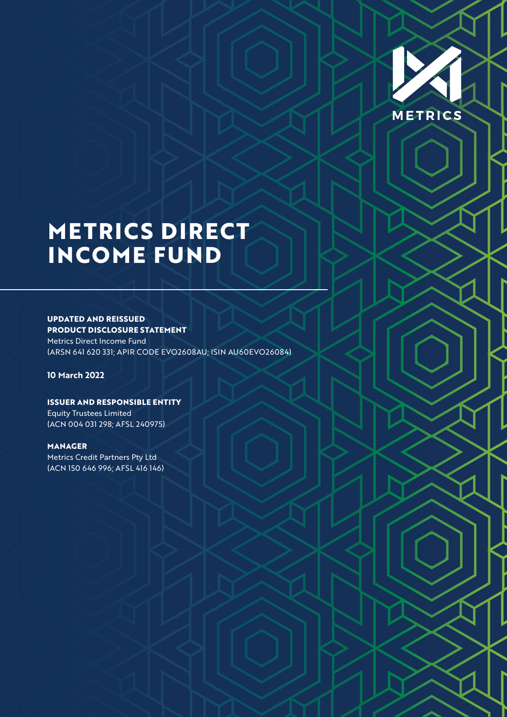

# **METRICS DIRECT INCOME FUND**

## **UPDATED AND REISSUED PRODUCT DISCLOSURE STATEMENT**

Metrics Direct Income Fund (ARSN 641 620 331; APIR CODE EVO2608AU; ISIN AU60EVO26084)

## **10 March 2022**

## **ISSUER AND RESPONSIBLE ENTITY**

Equity Trustees Limited (ACN 004 031 298; AFSL 240975)

## **MANAGER**

Metrics Credit Partners Pty Ltd (ACN 150 646 996; AFSL 416 146)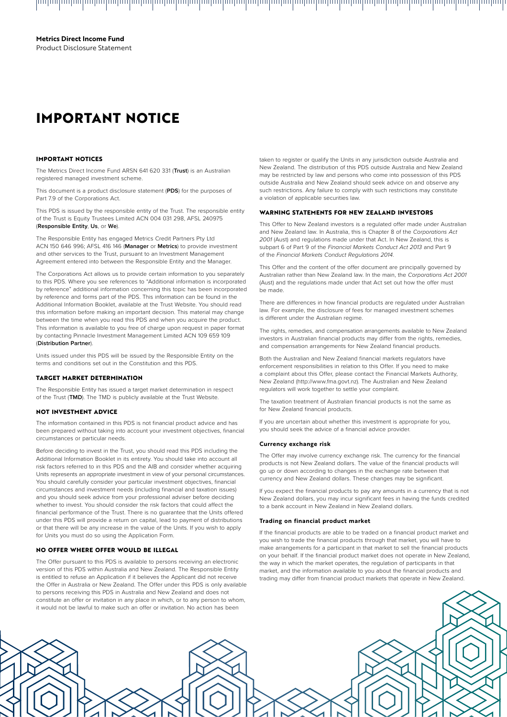**Metrics Direct Income Fund** Product Disclosure Statement

## **IMPORTANT NOTICE**

#### **IMPORTANT NOTICES**

The Metrics Direct Income Fund ARSN 641 620 331 (**Trust**) is an Australian registered managed investment scheme.

This document is a product disclosure statement (**PDS**) for the purposes of Part 7.9 of the Corporations Act.

This PDS is issued by the responsible entity of the Trust. The responsible entity of the Trust is Equity Trustees Limited ACN 004 031 298, AFSL 240975 (**Responsible Entity**, **Us**, or **We**).

The Responsible Entity has engaged Metrics Credit Partners Pty Ltd ACN 150 646 996; AFSL 416 146 (**Manager** or **Metrics**) to provide investment and other services to the Trust, pursuant to an Investment Management Agreement entered into between the Responsible Entity and the Manager.

The Corporations Act allows us to provide certain information to you separately to this PDS. Where you see references to "Additional information is incorporated by reference" additional information concerning this topic has been incorporated by reference and forms part of the PDS. This information can be found in the Additional Information Booklet, available at the Trust Website. You should read this information before making an important decision. This material may change between the time when you read this PDS and when you acquire the product. This information is available to you free of charge upon request in paper format by contacting Pinnacle Investment Management Limited ACN 109 659 109 (**Distribution Partner**).

Units issued under this PDS will be issued by the Responsible Entity on the terms and conditions set out in the Constitution and this PDS.

#### **TARGET MARKET DETERMINATION**

The Responsible Entity has issued a target market determination in respect of the Trust (**TMD**). The TMD is publicly available at the Trust Website.

#### **NOT INVESTMENT ADVICE**

The information contained in this PDS is not financial product advice and has been prepared without taking into account your investment objectives, financial circumstances or particular needs.

Before deciding to invest in the Trust, you should read this PDS including the Additional Information Booklet in its entirety. You should take into account all risk factors referred to in this PDS and the AIB and consider whether acquiring Units represents an appropriate investment in view of your personal circumstances. You should carefully consider your particular investment objectives, financial circumstances and investment needs (including financial and taxation issues) and you should seek advice from your professional adviser before deciding whether to invest. You should consider the risk factors that could affect the financial performance of the Trust. There is no guarantee that the Units offered under this PDS will provide a return on capital, lead to payment of distributions or that there will be any increase in the value of the Units. If you wish to apply for Units you must do so using the Application Form.

#### **NO OFFER WHERE OFFER WOULD BE ILLEGAL**

The Offer pursuant to this PDS is available to persons receiving an electronic version of this PDS within Australia and New Zealand. The Responsible Entity is entitled to refuse an Application if it believes the Applicant did not receive the Offer in Australia or New Zealand. The Offer under this PDS is only available to persons receiving this PDS in Australia and New Zealand and does not constitute an offer or invitation in any place in which, or to any person to whom, it would not be lawful to make such an offer or invitation. No action has been

taken to register or qualify the Units in any jurisdiction outside Australia and New Zealand. The distribution of this PDS outside Australia and New Zealand may be restricted by law and persons who come into possession of this PDS outside Australia and New Zealand should seek advice on and observe any such restrictions. Any failure to comply with such restrictions may constitute a violation of applicable securities law.

#### **WARNING STATEMENTS FOR NEW ZEALAND INVESTORS**

This Offer to New Zealand investors is a regulated offer made under Australian and New Zealand law. In Australia, this is Chapter 8 of the *Corporations Act 2001* (Aust) and regulations made under that Act. In New Zealand, this is subpart 6 of Part 9 of the *Financial Markets Conduct Act 2013* and Part 9 of the *Financial Markets Conduct Regulations 2014*.

This Offer and the content of the offer document are principally governed by Australian rather than New Zealand law. In the main, the *Corporations Act 2001* (Aust) and the regulations made under that Act set out how the offer must be made.

There are differences in how financial products are regulated under Australian law. For example, the disclosure of fees for managed investment schemes is different under the Australian regime.

The rights, remedies, and compensation arrangements available to New Zealand investors in Australian financial products may differ from the rights, remedies, and compensation arrangements for New Zealand financial products.

Both the Australian and New Zealand financial markets regulators have enforcement responsibilities in relation to this Offer. If you need to make a complaint about this Offer, please contact the Financial Markets Authority, New Zealand (http://www.fma.govt.nz). The Australian and New Zealand regulators will work together to settle your complaint.

The taxation treatment of Australian financial products is not the same as for New Zealand financial products.

If you are uncertain about whether this investment is appropriate for you, you should seek the advice of a financial advice provider.

#### **Currency exchange risk**

The Offer may involve currency exchange risk. The currency for the financial products is not New Zealand dollars. The value of the financial products will go up or down according to changes in the exchange rate between that currency and New Zealand dollars. These changes may be significant.

If you expect the financial products to pay any amounts in a currency that is not New Zealand dollars, you may incur significant fees in having the funds credited to a bank account in New Zealand in New Zealand dollars.

#### **Trading on financial product market**

If the financial products are able to be traded on a financial product market and you wish to trade the financial products through that market, you will have to make arrangements for a participant in that market to sell the financial products on your behalf. If the financial product market does not operate in New Zealand, the way in which the market operates, the regulation of participants in that market, and the information available to you about the financial products and trading may differ from financial product markets that operate in New Zealand.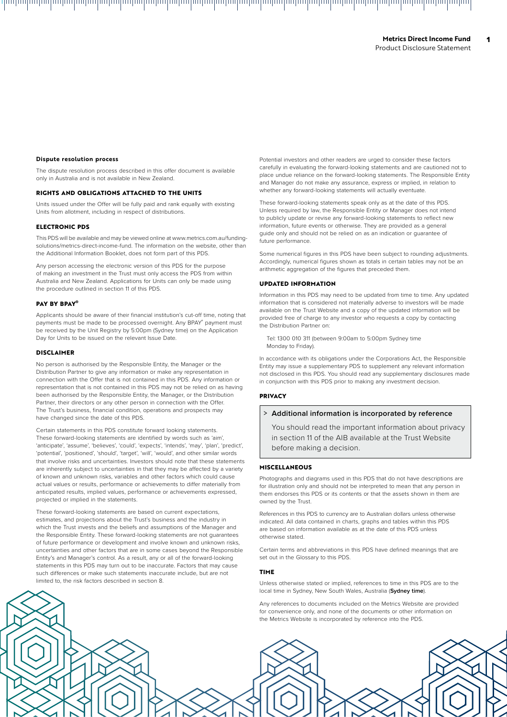1

#### **Dispute resolution process**

The dispute resolution process described in this offer document is available only in Australia and is not available in New Zealand.

#### **RIGHTS AND OBLIGATIONS ATTACHED TO THE UNITS**

Units issued under the Offer will be fully paid and rank equally with existing Units from allotment, including in respect of distributions.

#### **ELECTRONIC PDS**

This PDS will be available and may be viewed online at www.metrics.com.au/fundingsolutions/metrics-direct-income-fund. The information on the website, other than the Additional Information Booklet, does not form part of this PDS.

Any person accessing the electronic version of this PDS for the purpose of making an investment in the Trust must only access the PDS from within Australia and New Zealand. Applications for Units can only be made using the procedure outlined in section 11 of this PDS.

#### **PAY BY BPAY®**

Applicants should be aware of their financial institution's cut-off time, noting that payments must be made to be processed overnight. Any BPAY® payment must be received by the Unit Registry by 5:00pm (Sydney time) on the Application Day for Units to be issued on the relevant Issue Date.

#### **DISCLAIMER**

No person is authorised by the Responsible Entity, the Manager or the Distribution Partner to give any information or make any representation in connection with the Offer that is not contained in this PDS. Any information or representation that is not contained in this PDS may not be relied on as having been authorised by the Responsible Entity, the Manager, or the Distribution Partner, their directors or any other person in connection with the Offer. The Trust's business, financial condition, operations and prospects may have changed since the date of this PDS.

Certain statements in this PDS constitute forward looking statements. These forward-looking statements are identified by words such as 'aim', 'anticipate', 'assume', 'believes', 'could', 'expects', 'intends', 'may', 'plan', 'predict', 'potential', 'positioned', 'should', 'target', 'will', 'would', and other similar words that involve risks and uncertainties. Investors should note that these statements are inherently subject to uncertainties in that they may be affected by a variety of known and unknown risks, variables and other factors which could cause actual values or results, performance or achievements to differ materially from anticipated results, implied values, performance or achievements expressed, projected or implied in the statements.

These forward-looking statements are based on current expectations, estimates, and projections about the Trust's business and the industry in which the Trust invests and the beliefs and assumptions of the Manager and the Responsible Entity. These forward-looking statements are not guarantees of future performance or development and involve known and unknown risks, uncertainties and other factors that are in some cases beyond the Responsible Entity's and Manager's control. As a result, any or all of the forward-looking statements in this PDS may turn out to be inaccurate. Factors that may cause such differences or make such statements inaccurate include, but are not limited to, the risk factors described in section 8.

Potential investors and other readers are urged to consider these factors carefully in evaluating the forward-looking statements and are cautioned not to place undue reliance on the forward-looking statements. The Responsible Entity and Manager do not make any assurance, express or implied, in relation to whether any forward-looking statements will actually eventuate.

These forward-looking statements speak only as at the date of this PDS. Unless required by law, the Responsible Entity or Manager does not intend to publicly update or revise any forward-looking statements to reflect new information, future events or otherwise. They are provided as a general guide only and should not be relied on as an indication or guarantee of future performance.

Some numerical figures in this PDS have been subject to rounding adjustments. Accordingly, numerical figures shown as totals in certain tables may not be an arithmetic aggregation of the figures that preceded them.

#### **UPDATED INFORMATION**

Information in this PDS may need to be updated from time to time. Any updated information that is considered not materially adverse to investors will be made available on the Trust Website and a copy of the updated information will be provided free of charge to any investor who requests a copy by contacting the Distribution Partner on:

Tel: 1300 010 311 (between 9:00am to 5:00pm Sydney time Monday to Friday).

In accordance with its obligations under the Corporations Act, the Responsible Entity may issue a supplementary PDS to supplement any relevant information not disclosed in this PDS. You should read any supplementary disclosures made in conjunction with this PDS prior to making any investment decision.

#### **PRIVACY**

#### > **Additional information is incorporated by reference**

You should read the important information about privacy in section 11 of the AIB available at the Trust Website before making a decision.

#### **MISCELLANEOUS**

Photographs and diagrams used in this PDS that do not have descriptions are for illustration only and should not be interpreted to mean that any person in them endorses this PDS or its contents or that the assets shown in them are owned by the Trust.

References in this PDS to currency are to Australian dollars unless otherwise indicated. All data contained in charts, graphs and tables within this PDS are based on information available as at the date of this PDS unless otherwise stated.

Certain terms and abbreviations in this PDS have defined meanings that are set out in the Glossary to this PDS.

#### **TIME**

Unless otherwise stated or implied, references to time in this PDS are to the local time in Sydney, New South Wales, Australia (**Sydney time**).

Any references to documents included on the Metrics Website are provided for convenience only, and none of the documents or other information on the Metrics Website is incorporated by reference into the PDS.

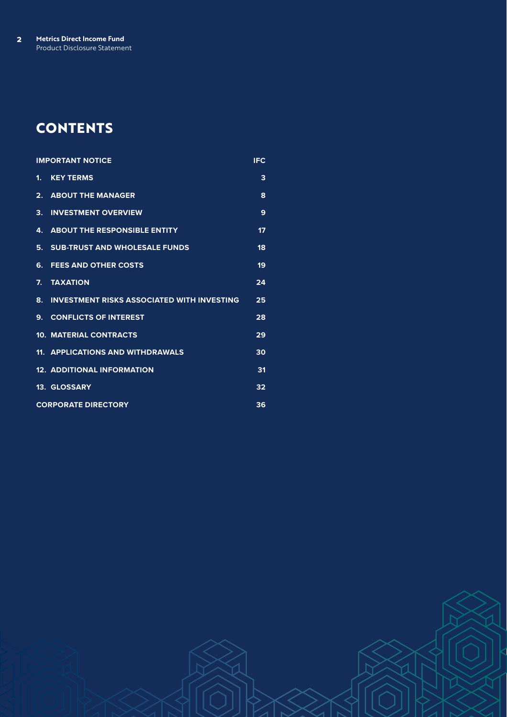## **CONTENTS**

| <b>IMPORTANT NOTICE</b>                                 | <b>IFC</b> |
|---------------------------------------------------------|------------|
| <b>KEY TERMS</b><br>1.                                  | 3          |
| <b>ABOUT THE MANAGER</b><br>2.                          | 8          |
| <b>INVESTMENT OVERVIEW</b><br>3.                        | 9          |
| <b>ABOUT THE RESPONSIBLE ENTITY</b><br>4.               | 17         |
| <b>SUB-TRUST AND WHOLESALE FUNDS</b><br>5.              | 18         |
| <b>FEES AND OTHER COSTS</b><br>6.                       | 19         |
| 7 <sub>1</sub><br><b>TAXATION</b>                       | 24         |
| <b>INVESTMENT RISKS ASSOCIATED WITH INVESTING</b><br>8. | 25         |
| <b>CONFLICTS OF INTEREST</b><br>9 <sub>1</sub>          | 28         |
| <b>10. MATERIAL CONTRACTS</b>                           | 29         |
| 11. APPLICATIONS AND WITHDRAWALS                        | 30         |
| <b>12. ADDITIONAL INFORMATION</b>                       | 31         |
| <b>13. GLOSSARY</b>                                     | 32         |
| <b>CORPORATE DIRECTORY</b>                              | 36         |

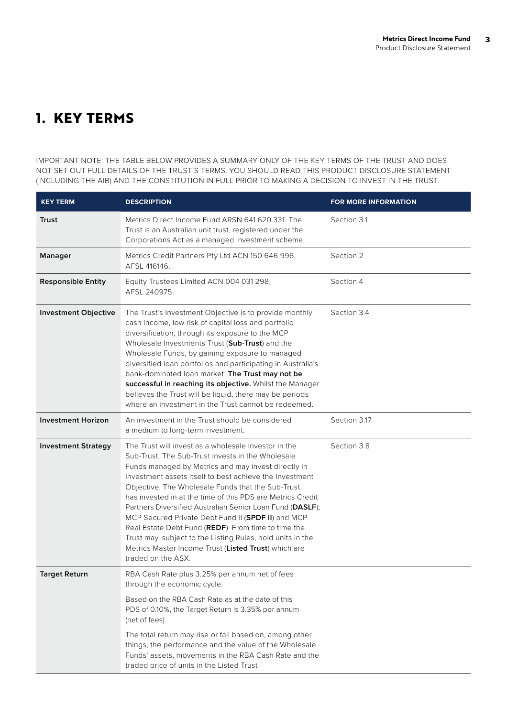## **1. KEY TERMS**

IMPORTANT NOTE: THE TABLE BELOW PROVIDES A SUMMARY ONLY OF THE KEY TERMS OF THE TRUST AND DOES NOT SET OUT FULL DETAILS OF THE TRUST'S TERMS. YOU SHOULD READ THIS PRODUCT DISCLOSURE STATEMENT (INCLUDING THE AIB) AND THE CONSTITUTION IN FULL PRIOR TO MAKING A DECISION TO INVEST IN THE TRUST.

| <b>KEY TERM</b>             | <b>DESCRIPTION</b>                                                                                                                                                                                                                                                                                                                                                                                                                                                                                                                                                                                                                                                   | <b>FOR MORE INFORMATION</b> |
|-----------------------------|----------------------------------------------------------------------------------------------------------------------------------------------------------------------------------------------------------------------------------------------------------------------------------------------------------------------------------------------------------------------------------------------------------------------------------------------------------------------------------------------------------------------------------------------------------------------------------------------------------------------------------------------------------------------|-----------------------------|
| Trust                       | Metrics Direct Income Fund ARSN 641 620 331. The<br>Trust is an Australian unit trust, registered under the<br>Corporations Act as a managed investment scheme.                                                                                                                                                                                                                                                                                                                                                                                                                                                                                                      | Section 3.1                 |
| <b>Manager</b>              | Metrics Credit Partners Pty Ltd ACN 150 646 996,<br>AFSL 416146.                                                                                                                                                                                                                                                                                                                                                                                                                                                                                                                                                                                                     | Section 2                   |
| <b>Responsible Entity</b>   | Equity Trustees Limited ACN 004 031 298,<br>AFSL 240975.                                                                                                                                                                                                                                                                                                                                                                                                                                                                                                                                                                                                             | Section 4                   |
| <b>Investment Objective</b> | The Trust's Investment Objective is to provide monthly<br>cash income, low risk of capital loss and portfolio<br>diversification, through its exposure to the MCP<br>Wholesale Investments Trust (Sub-Trust) and the<br>Wholesale Funds, by gaining exposure to managed<br>diversified loan portfolios and participating in Australia's<br>bank-dominated loan market. The Trust may not be<br>successful in reaching its objective. Whilst the Manager<br>believes the Trust will be liquid, there may be periods<br>where an investment in the Trust cannot be redeemed.                                                                                           | Section 3.4                 |
| <b>Investment Horizon</b>   | An investment in the Trust should be considered<br>a medium to long-term investment.                                                                                                                                                                                                                                                                                                                                                                                                                                                                                                                                                                                 | Section 3.17                |
| <b>Investment Strategy</b>  | The Trust will invest as a wholesale investor in the<br>Sub-Trust. The Sub-Trust invests in the Wholesale<br>Funds managed by Metrics and may invest directly in<br>investment assets itself to best achieve the Investment<br>Objective. The Wholesale Funds that the Sub-Trust<br>has invested in at the time of this PDS are Metrics Credit<br>Partners Diversified Australian Senior Loan Fund (DASLF),<br>MCP Secured Private Debt Fund II (SPDF II) and MCP<br>Real Estate Debt Fund (REDF). From time to time the<br>Trust may, subject to the Listing Rules, hold units in the<br>Metrics Master Income Trust (Listed Trust) which are<br>traded on the ASX. | Section 3.8                 |
| <b>Target Return</b>        | RBA Cash Rate plus 3.25% per annum net of fees<br>through the economic cycle.                                                                                                                                                                                                                                                                                                                                                                                                                                                                                                                                                                                        |                             |
|                             | Based on the RBA Cash Rate as at the date of this<br>PDS of 0.10%, the Target Return is 3.35% per annum<br>(net of fees).                                                                                                                                                                                                                                                                                                                                                                                                                                                                                                                                            |                             |
|                             | The total return may rise or fall based on, among other<br>things, the performance and the value of the Wholesale<br>Funds' assets, movements in the RBA Cash Rate and the<br>traded price of units in the Listed Trust                                                                                                                                                                                                                                                                                                                                                                                                                                              |                             |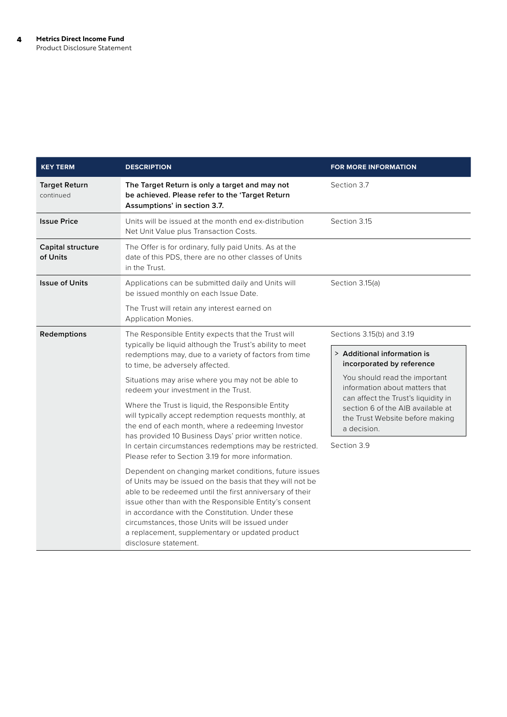| <b>KEY TERM</b>                   | <b>DESCRIPTION</b>                                                                                                                                                                                                                                                                                                                                                                                                                                                                                                                                                                                                                                   | <b>FOR MORE INFORMATION</b>                                                                                                                                                                                                                                                                           |
|-----------------------------------|------------------------------------------------------------------------------------------------------------------------------------------------------------------------------------------------------------------------------------------------------------------------------------------------------------------------------------------------------------------------------------------------------------------------------------------------------------------------------------------------------------------------------------------------------------------------------------------------------------------------------------------------------|-------------------------------------------------------------------------------------------------------------------------------------------------------------------------------------------------------------------------------------------------------------------------------------------------------|
| <b>Target Return</b><br>continued | The Target Return is only a target and may not<br>be achieved. Please refer to the 'Target Return<br>Assumptions' in section 3.7.                                                                                                                                                                                                                                                                                                                                                                                                                                                                                                                    | Section 3.7                                                                                                                                                                                                                                                                                           |
| <b>Issue Price</b>                | Units will be issued at the month end ex-distribution<br>Net Unit Value plus Transaction Costs.                                                                                                                                                                                                                                                                                                                                                                                                                                                                                                                                                      | Section 3.15                                                                                                                                                                                                                                                                                          |
| Capital structure<br>of Units     | The Offer is for ordinary, fully paid Units. As at the<br>date of this PDS, there are no other classes of Units<br>in the Trust.                                                                                                                                                                                                                                                                                                                                                                                                                                                                                                                     |                                                                                                                                                                                                                                                                                                       |
| <b>Issue of Units</b>             | Applications can be submitted daily and Units will<br>be issued monthly on each Issue Date.                                                                                                                                                                                                                                                                                                                                                                                                                                                                                                                                                          | Section 3.15(a)                                                                                                                                                                                                                                                                                       |
|                                   | The Trust will retain any interest earned on<br>Application Monies.                                                                                                                                                                                                                                                                                                                                                                                                                                                                                                                                                                                  |                                                                                                                                                                                                                                                                                                       |
| Redemptions                       | The Responsible Entity expects that the Trust will<br>typically be liquid although the Trust's ability to meet<br>redemptions may, due to a variety of factors from time<br>to time, be adversely affected.<br>Situations may arise where you may not be able to<br>redeem your investment in the Trust.<br>Where the Trust is liquid, the Responsible Entity<br>will typically accept redemption requests monthly, at<br>the end of each month, where a redeeming Investor<br>has provided 10 Business Days' prior written notice.<br>In certain circumstances redemptions may be restricted.<br>Please refer to Section 3.19 for more information. | Sections 3.15(b) and 3.19<br>> Additional information is<br>incorporated by reference<br>You should read the important<br>information about matters that<br>can affect the Trust's liquidity in<br>section 6 of the AIB available at<br>the Trust Website before making<br>a decision.<br>Section 3.9 |
|                                   | Dependent on changing market conditions, future issues<br>of Units may be issued on the basis that they will not be<br>able to be redeemed until the first anniversary of their<br>issue other than with the Responsible Entity's consent<br>in accordance with the Constitution. Under these<br>circumstances, those Units will be issued under<br>a replacement, supplementary or updated product<br>disclosure statement.                                                                                                                                                                                                                         |                                                                                                                                                                                                                                                                                                       |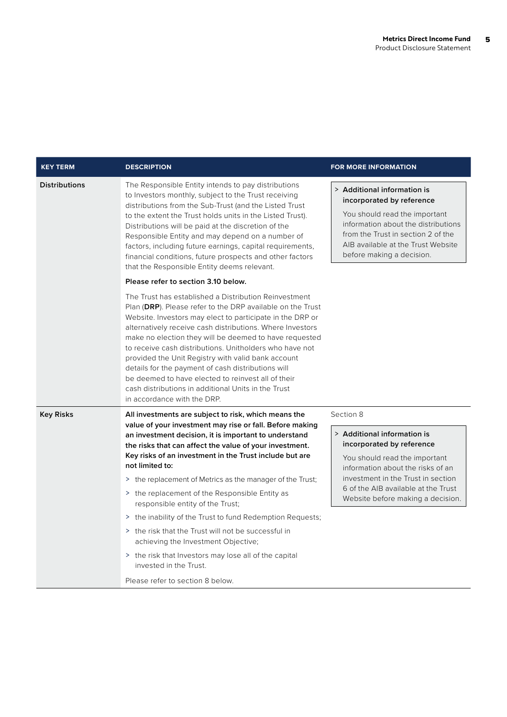| <b>KEY TERM</b>      | <b>DESCRIPTION</b>                                                                                                                                                                                                                                                                                                                                                                                                                                                                                                                                                                                                                                          | <b>FOR MORE INFORMATION</b>                                                                                                                                                                                                                      |
|----------------------|-------------------------------------------------------------------------------------------------------------------------------------------------------------------------------------------------------------------------------------------------------------------------------------------------------------------------------------------------------------------------------------------------------------------------------------------------------------------------------------------------------------------------------------------------------------------------------------------------------------------------------------------------------------|--------------------------------------------------------------------------------------------------------------------------------------------------------------------------------------------------------------------------------------------------|
| <b>Distributions</b> | The Responsible Entity intends to pay distributions<br>to Investors monthly, subject to the Trust receiving<br>distributions from the Sub-Trust (and the Listed Trust<br>to the extent the Trust holds units in the Listed Trust).<br>Distributions will be paid at the discretion of the<br>Responsible Entity and may depend on a number of<br>factors, including future earnings, capital requirements,<br>financial conditions, future prospects and other factors<br>that the Responsible Entity deems relevant.                                                                                                                                       | > Additional information is<br>incorporated by reference<br>You should read the important<br>information about the distributions<br>from the Trust in section 2 of the<br>AIB available at the Trust Website<br>before making a decision.        |
|                      | Please refer to section 3.10 below.                                                                                                                                                                                                                                                                                                                                                                                                                                                                                                                                                                                                                         |                                                                                                                                                                                                                                                  |
|                      | The Trust has established a Distribution Reinvestment<br>Plan (DRP). Please refer to the DRP available on the Trust<br>Website. Investors may elect to participate in the DRP or<br>alternatively receive cash distributions. Where Investors<br>make no election they will be deemed to have requested<br>to receive cash distributions. Unitholders who have not<br>provided the Unit Registry with valid bank account<br>details for the payment of cash distributions will<br>be deemed to have elected to reinvest all of their<br>cash distributions in additional Units in the Trust<br>in accordance with the DRP.                                  |                                                                                                                                                                                                                                                  |
| <b>Key Risks</b>     | All investments are subject to risk, which means the                                                                                                                                                                                                                                                                                                                                                                                                                                                                                                                                                                                                        | Section 8                                                                                                                                                                                                                                        |
|                      | value of your investment may rise or fall. Before making<br>an investment decision, it is important to understand<br>the risks that can affect the value of your investment.<br>Key risks of an investment in the Trust include but are<br>not limited to:<br>> the replacement of Metrics as the manager of the Trust;<br>> the replacement of the Responsible Entity as<br>responsible entity of the Trust;<br>> the inability of the Trust to fund Redemption Requests;<br>> the risk that the Trust will not be successful in<br>achieving the Investment Objective;<br>> the risk that Investors may lose all of the capital<br>invested in the Trust. | > Additional information is<br>incorporated by reference<br>You should read the important<br>information about the risks of an<br>investment in the Trust in section<br>6 of the AIB available at the Trust<br>Website before making a decision. |
|                      | Please refer to section 8 below.                                                                                                                                                                                                                                                                                                                                                                                                                                                                                                                                                                                                                            |                                                                                                                                                                                                                                                  |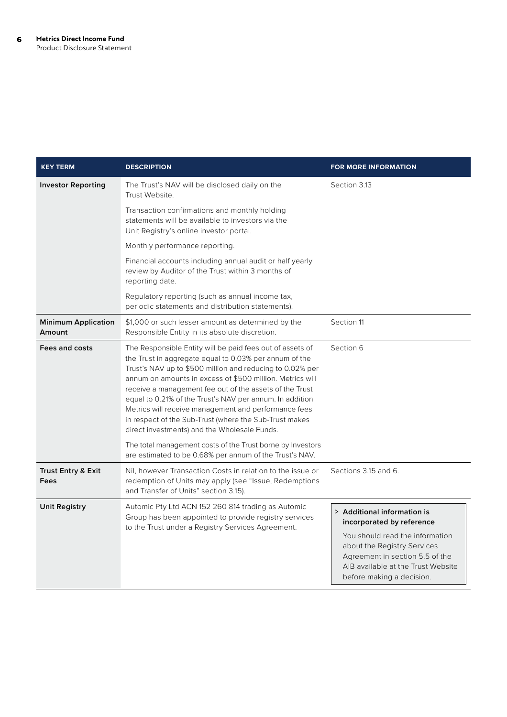| <b>DESCRIPTION</b>                                                                                                                                                                                                                                                                                                                                                                                                                                                                                                                     | <b>FOR MORE INFORMATION</b>                                                                                                                                                                                                      |
|----------------------------------------------------------------------------------------------------------------------------------------------------------------------------------------------------------------------------------------------------------------------------------------------------------------------------------------------------------------------------------------------------------------------------------------------------------------------------------------------------------------------------------------|----------------------------------------------------------------------------------------------------------------------------------------------------------------------------------------------------------------------------------|
| The Trust's NAV will be disclosed daily on the<br>Trust Website.                                                                                                                                                                                                                                                                                                                                                                                                                                                                       | Section 3.13                                                                                                                                                                                                                     |
| Transaction confirmations and monthly holding<br>statements will be available to investors via the<br>Unit Registry's online investor portal.                                                                                                                                                                                                                                                                                                                                                                                          |                                                                                                                                                                                                                                  |
| Monthly performance reporting.                                                                                                                                                                                                                                                                                                                                                                                                                                                                                                         |                                                                                                                                                                                                                                  |
| Financial accounts including annual audit or half yearly<br>review by Auditor of the Trust within 3 months of<br>reporting date.                                                                                                                                                                                                                                                                                                                                                                                                       |                                                                                                                                                                                                                                  |
| Regulatory reporting (such as annual income tax,<br>periodic statements and distribution statements).                                                                                                                                                                                                                                                                                                                                                                                                                                  |                                                                                                                                                                                                                                  |
| \$1,000 or such lesser amount as determined by the<br>Responsible Entity in its absolute discretion.                                                                                                                                                                                                                                                                                                                                                                                                                                   | Section 11                                                                                                                                                                                                                       |
| The Responsible Entity will be paid fees out of assets of<br>the Trust in aggregate equal to 0.03% per annum of the<br>Trust's NAV up to \$500 million and reducing to 0.02% per<br>annum on amounts in excess of \$500 million. Metrics will<br>receive a management fee out of the assets of the Trust<br>equal to 0.21% of the Trust's NAV per annum. In addition<br>Metrics will receive management and performance fees<br>in respect of the Sub-Trust (where the Sub-Trust makes<br>direct investments) and the Wholesale Funds. | Section 6                                                                                                                                                                                                                        |
| The total management costs of the Trust borne by Investors<br>are estimated to be 0.68% per annum of the Trust's NAV.                                                                                                                                                                                                                                                                                                                                                                                                                  |                                                                                                                                                                                                                                  |
| Nil, however Transaction Costs in relation to the issue or<br>redemption of Units may apply (see "Issue, Redemptions<br>and Transfer of Units" section 3.15).                                                                                                                                                                                                                                                                                                                                                                          | Sections 3.15 and 6.                                                                                                                                                                                                             |
| Automic Pty Ltd ACN 152 260 814 trading as Automic<br>Group has been appointed to provide registry services<br>to the Trust under a Registry Services Agreement.                                                                                                                                                                                                                                                                                                                                                                       | > Additional information is<br>incorporated by reference<br>You should read the information<br>about the Registry Services<br>Agreement in section 5.5 of the<br>AIB available at the Trust Website<br>before making a decision. |
|                                                                                                                                                                                                                                                                                                                                                                                                                                                                                                                                        |                                                                                                                                                                                                                                  |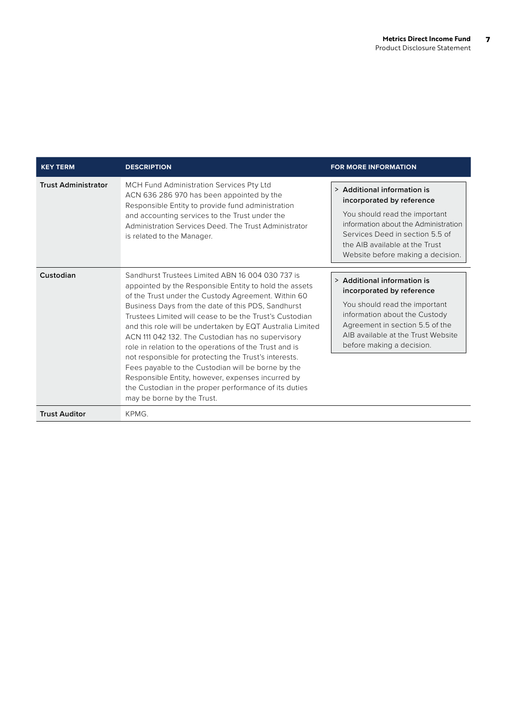| <b>KEY TERM</b>            | <b>DESCRIPTION</b>                                                                                                                                                                                                                                                                                                                                                                                                                                                                                                                                                                                                                                                                                                        | <b>FOR MORE INFORMATION</b>                                                                                                                                                                                                                 |
|----------------------------|---------------------------------------------------------------------------------------------------------------------------------------------------------------------------------------------------------------------------------------------------------------------------------------------------------------------------------------------------------------------------------------------------------------------------------------------------------------------------------------------------------------------------------------------------------------------------------------------------------------------------------------------------------------------------------------------------------------------------|---------------------------------------------------------------------------------------------------------------------------------------------------------------------------------------------------------------------------------------------|
| <b>Trust Administrator</b> | MCH Fund Administration Services Pty Ltd<br>ACN 636 286 970 has been appointed by the<br>Responsible Entity to provide fund administration<br>and accounting services to the Trust under the<br>Administration Services Deed. The Trust Administrator<br>is related to the Manager.                                                                                                                                                                                                                                                                                                                                                                                                                                       | > Additional information is<br>incorporated by reference<br>You should read the important<br>information about the Administration<br>Services Deed in section 5.5 of<br>the AIB available at the Trust<br>Website before making a decision. |
| Custodian                  | Sandhurst Trustees Limited ABN 16 004 030 737 is<br>appointed by the Responsible Entity to hold the assets<br>of the Trust under the Custody Agreement. Within 60<br>Business Days from the date of this PDS, Sandhurst<br>Trustees Limited will cease to be the Trust's Custodian<br>and this role will be undertaken by EQT Australia Limited<br>ACN 111 042 132. The Custodian has no supervisory<br>role in relation to the operations of the Trust and is<br>not responsible for protecting the Trust's interests.<br>Fees payable to the Custodian will be borne by the<br>Responsible Entity, however, expenses incurred by<br>the Custodian in the proper performance of its duties<br>may be borne by the Trust. | > Additional information is<br>incorporated by reference<br>You should read the important<br>information about the Custody<br>Agreement in section 5.5 of the<br>AIB available at the Trust Website<br>before making a decision.            |
| <b>Trust Auditor</b>       | KPMG.                                                                                                                                                                                                                                                                                                                                                                                                                                                                                                                                                                                                                                                                                                                     |                                                                                                                                                                                                                                             |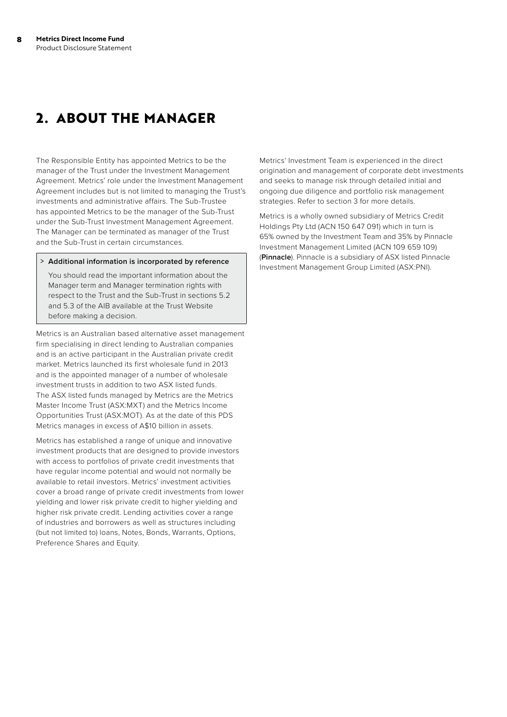## **2. ABOUT THE MANAGER**

The Responsible Entity has appointed Metrics to be the manager of the Trust under the Investment Management Agreement. Metrics' role under the Investment Management Agreement includes but is not limited to managing the Trust's investments and administrative affairs. The Sub-Trustee has appointed Metrics to be the manager of the Sub-Trust under the Sub-Trust Investment Management Agreement. The Manager can be terminated as manager of the Trust and the Sub-Trust in certain circumstances.

## > **Additional information is incorporated by reference**

You should read the important information about the Manager term and Manager termination rights with respect to the Trust and the Sub-Trust in sections 5.2 and 5.3 of the AIB available at the Trust Website before making a decision.

Metrics is an Australian based alternative asset management firm specialising in direct lending to Australian companies and is an active participant in the Australian private credit market. Metrics launched its first wholesale fund in 2013 and is the appointed manager of a number of wholesale investment trusts in addition to two ASX listed funds. The ASX listed funds managed by Metrics are the Metrics Master Income Trust (ASX:MXT) and the Metrics Income Opportunities Trust (ASX:MOT). As at the date of this PDS Metrics manages in excess of A\$10 billion in assets.

Metrics has established a range of unique and innovative investment products that are designed to provide investors with access to portfolios of private credit investments that have regular income potential and would not normally be available to retail investors. Metrics' investment activities cover a broad range of private credit investments from lower yielding and lower risk private credit to higher yielding and higher risk private credit. Lending activities cover a range of industries and borrowers as well as structures including (but not limited to) loans, Notes, Bonds, Warrants, Options, Preference Shares and Equity.

Metrics' Investment Team is experienced in the direct origination and management of corporate debt investments and seeks to manage risk through detailed initial and ongoing due diligence and portfolio risk management strategies. Refer to section 3 for more details.

Metrics is a wholly owned subsidiary of Metrics Credit Holdings Pty Ltd (ACN 150 647 091) which in turn is 65% owned by the Investment Team and 35% by Pinnacle Investment Management Limited (ACN 109 659 109) (**Pinnacle**). Pinnacle is a subsidiary of ASX listed Pinnacle Investment Management Group Limited (ASX:PNI).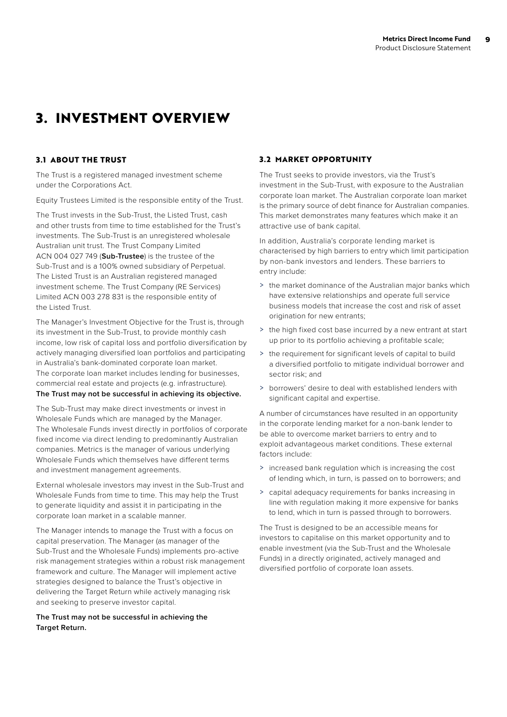## **3. INVESTMENT OVERVIEW**

## **3.1 ABOUT THE TRUST**

The Trust is a registered managed investment scheme under the Corporations Act.

Equity Trustees Limited is the responsible entity of the Trust.

The Trust invests in the Sub-Trust, the Listed Trust, cash and other trusts from time to time established for the Trust's investments. The Sub-Trust is an unregistered wholesale Australian unit trust. The Trust Company Limited ACN 004 027 749 (**Sub-Trustee**) is the trustee of the Sub-Trust and is a 100% owned subsidiary of Perpetual. The Listed Trust is an Australian registered managed investment scheme. The Trust Company (RE Services) Limited ACN 003 278 831 is the responsible entity of the Listed Trust.

The Manager's Investment Objective for the Trust is, through its investment in the Sub-Trust, to provide monthly cash income, low risk of capital loss and portfolio diversification by actively managing diversified loan portfolios and participating in Australia's bank-dominated corporate loan market. The corporate loan market includes lending for businesses, commercial real estate and projects (e.g. infrastructure). **The Trust may not be successful in achieving its objective.**

The Sub-Trust may make direct investments or invest in Wholesale Funds which are managed by the Manager. The Wholesale Funds invest directly in portfolios of corporate fixed income via direct lending to predominantly Australian companies. Metrics is the manager of various underlying Wholesale Funds which themselves have different terms and investment management agreements.

External wholesale investors may invest in the Sub-Trust and Wholesale Funds from time to time. This may help the Trust to generate liquidity and assist it in participating in the corporate loan market in a scalable manner.

The Manager intends to manage the Trust with a focus on capital preservation. The Manager (as manager of the Sub-Trust and the Wholesale Funds) implements pro-active risk management strategies within a robust risk management framework and culture. The Manager will implement active strategies designed to balance the Trust's objective in delivering the Target Return while actively managing risk and seeking to preserve investor capital.

**The Trust may not be successful in achieving the Target Return.** 

## **3.2 MARKET OPPORTUNITY**

The Trust seeks to provide investors, via the Trust's investment in the Sub-Trust, with exposure to the Australian corporate loan market. The Australian corporate loan market is the primary source of debt finance for Australian companies. This market demonstrates many features which make it an attractive use of bank capital.

In addition, Australia's corporate lending market is characterised by high barriers to entry which limit participation by non-bank investors and lenders. These barriers to entry include:

- > the market dominance of the Australian major banks which have extensive relationships and operate full service business models that increase the cost and risk of asset origination for new entrants:
- > the high fixed cost base incurred by a new entrant at start up prior to its portfolio achieving a profitable scale;
- > the requirement for significant levels of capital to build a diversified portfolio to mitigate individual borrower and sector risk; and
- > borrowers' desire to deal with established lenders with significant capital and expertise.

A number of circumstances have resulted in an opportunity in the corporate lending market for a non-bank lender to be able to overcome market barriers to entry and to exploit advantageous market conditions. These external factors include:

- > increased bank regulation which is increasing the cost of lending which, in turn, is passed on to borrowers; and
- > capital adequacy requirements for banks increasing in line with regulation making it more expensive for banks to lend, which in turn is passed through to borrowers.

The Trust is designed to be an accessible means for investors to capitalise on this market opportunity and to enable investment (via the Sub-Trust and the Wholesale Funds) in a directly originated, actively managed and diversified portfolio of corporate loan assets.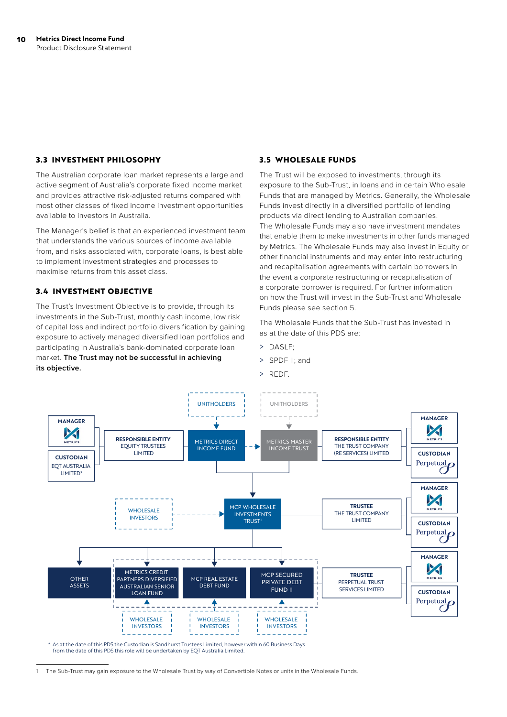## **3.3 INVESTMENT PHILOSOPHY**

The Australian corporate loan market represents a large and active segment of Australia's corporate fixed income market and provides attractive risk-adjusted returns compared with most other classes of fixed income investment opportunities available to investors in Australia.

The Manager's belief is that an experienced investment team that understands the various sources of income available from, and risks associated with, corporate loans, is best able to implement investment strategies and processes to maximise returns from this asset class.

## **3.4 INVESTMENT OBJECTIVE**

The Trust's Investment Objective is to provide, through its investments in the Sub-Trust, monthly cash income, low risk of capital loss and indirect portfolio diversification by gaining exposure to actively managed diversified loan portfolios and participating in Australia's bank-dominated corporate loan market. **The Trust may not be successful in achieving its objective.** 

### **3.5 WHOLESALE FUNDS**

The Trust will be exposed to investments, through its exposure to the Sub-Trust, in loans and in certain Wholesale Funds that are managed by Metrics. Generally, the Wholesale Funds invest directly in a diversified portfolio of lending products via direct lending to Australian companies. The Wholesale Funds may also have investment mandates that enable them to make investments in other funds managed by Metrics. The Wholesale Funds may also invest in Equity or other financial instruments and may enter into restructuring and recapitalisation agreements with certain borrowers in the event a corporate restructuring or recapitalisation of a corporate borrower is required. For further information on how the Trust will invest in the Sub-Trust and Wholesale Funds please see section 5.

The Wholesale Funds that the Sub-Trust has invested in as at the date of this PDS are:

- > DASLF;
- > SPDF II; and
- > REDF.



As at the date of this PDS the Custodian is Sandhurst Trustees Limited, however within 60 Business Days from the date of this PDS this role will be undertaken by EQT Australia Limited.

<sup>1</sup> The Sub-Trust may gain exposure to the Wholesale Trust by way of Convertible Notes or units in the Wholesale Funds.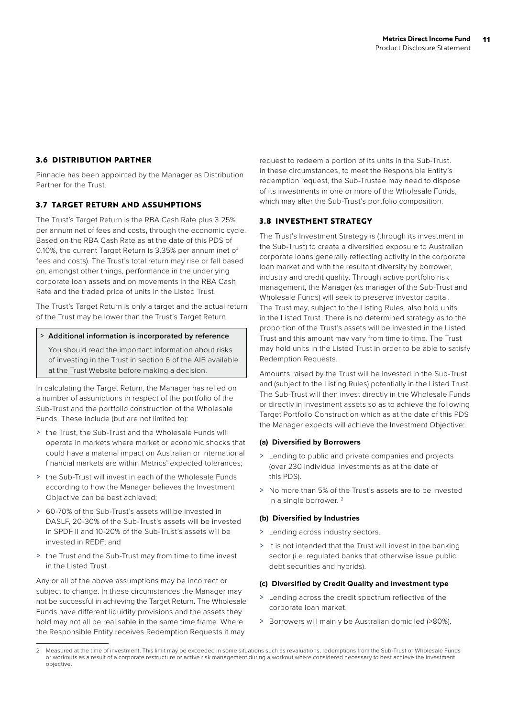## **3.6 DISTRIBUTION PARTNER**

Pinnacle has been appointed by the Manager as Distribution Partner for the Trust.

### **3.7 TARGET RETURN AND ASSUMPTIONS**

The Trust's Target Return is the RBA Cash Rate plus 3.25% per annum net of fees and costs, through the economic cycle. Based on the RBA Cash Rate as at the date of this PDS of 0.10%, the current Target Return is 3.35% per annum (net of fees and costs). The Trust's total return may rise or fall based on, amongst other things, performance in the underlying corporate loan assets and on movements in the RBA Cash Rate and the traded price of units in the Listed Trust.

The Trust's Target Return is only a target and the actual return of the Trust may be lower than the Trust's Target Return.

#### > **Additional information is incorporated by reference**

You should read the important information about risks of investing in the Trust in section 6 of the AIB available at the Trust Website before making a decision.

In calculating the Target Return, the Manager has relied on a number of assumptions in respect of the portfolio of the Sub-Trust and the portfolio construction of the Wholesale Funds. These include (but are not limited to):

- > the Trust, the Sub-Trust and the Wholesale Funds will operate in markets where market or economic shocks that could have a material impact on Australian or international financial markets are within Metrics' expected tolerances;
- > the Sub-Trust will invest in each of the Wholesale Funds according to how the Manager believes the Investment Objective can be best achieved;
- > 60-70% of the Sub-Trust's assets will be invested in DASLF, 20-30% of the Sub-Trust's assets will be invested in SPDF II and 10-20% of the Sub-Trust's assets will be invested in REDF; and
- > the Trust and the Sub-Trust may from time to time invest in the Listed Trust.

Any or all of the above assumptions may be incorrect or subject to change. In these circumstances the Manager may not be successful in achieving the Target Return. The Wholesale Funds have different liquidity provisions and the assets they hold may not all be realisable in the same time frame. Where the Responsible Entity receives Redemption Requests it may

request to redeem a portion of its units in the Sub-Trust. In these circumstances, to meet the Responsible Entity's redemption request, the Sub-Trustee may need to dispose of its investments in one or more of the Wholesale Funds, which may alter the Sub-Trust's portfolio composition.

### **3.8 INVESTMENT STRATEGY**

The Trust's Investment Strategy is (through its investment in the Sub-Trust) to create a diversified exposure to Australian corporate loans generally reflecting activity in the corporate loan market and with the resultant diversity by borrower, industry and credit quality. Through active portfolio risk management, the Manager (as manager of the Sub-Trust and Wholesale Funds) will seek to preserve investor capital. The Trust may, subject to the Listing Rules, also hold units in the Listed Trust. There is no determined strategy as to the proportion of the Trust's assets will be invested in the Listed Trust and this amount may vary from time to time. The Trust may hold units in the Listed Trust in order to be able to satisfy Redemption Requests.

Amounts raised by the Trust will be invested in the Sub-Trust and (subject to the Listing Rules) potentially in the Listed Trust. The Sub-Trust will then invest directly in the Wholesale Funds or directly in investment assets so as to achieve the following Target Portfolio Construction which as at the date of this PDS the Manager expects will achieve the Investment Objective:

#### **(a) Diversified by Borrowers**

- > Lending to public and private companies and projects (over 230 individual investments as at the date of this PDS).
- > No more than 5% of the Trust's assets are to be invested in a single borrower. 2

#### **(b) Diversified by Industries**

- > Lending across industry sectors.
- > It is not intended that the Trust will invest in the banking sector (i.e. regulated banks that otherwise issue public debt securities and hybrids).

#### **(c) Diversified by Credit Quality and investment type**

- > Lending across the credit spectrum reflective of the corporate loan market.
- > Borrowers will mainly be Australian domiciled (>80%).

<sup>2</sup> Measured at the time of investment. This limit may be exceeded in some situations such as revaluations, redemptions from the Sub-Trust or Wholesale Funds or workouts as a result of a corporate restructure or active risk management during a workout where considered necessary to best achieve the investment objective.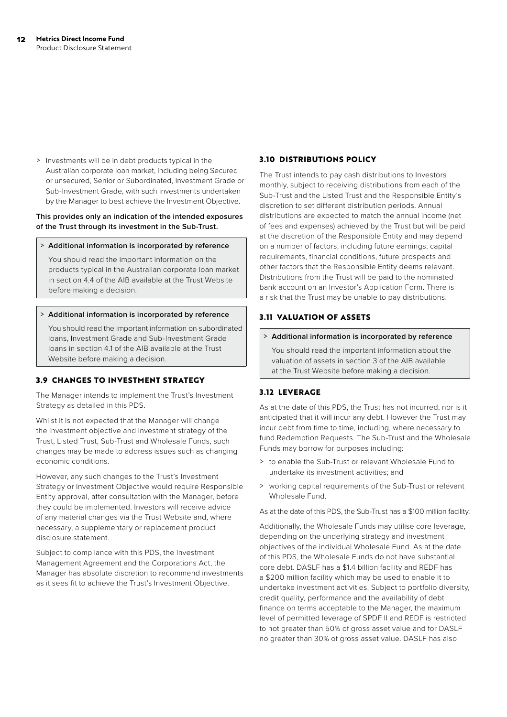> Investments will be in debt products typical in the Australian corporate loan market, including being Secured or unsecured, Senior or Subordinated, Investment Grade or Sub-Investment Grade, with such investments undertaken by the Manager to best achieve the Investment Objective.

## **This provides only an indication of the intended exposures of the Trust through its investment in the Sub-Trust.**

#### > **Additional information is incorporated by reference**

You should read the important information on the products typical in the Australian corporate loan market in section 4.4 of the AIB available at the Trust Website before making a decision.

#### > **Additional information is incorporated by reference**

You should read the important information on subordinated loans, Investment Grade and Sub-Investment Grade loans in section 4.1 of the AIB available at the Trust Website before making a decision.

## **3.9 CHANGES TO INVESTMENT STRATEGY**

The Manager intends to implement the Trust's Investment Strategy as detailed in this PDS.

Whilst it is not expected that the Manager will change the investment objective and investment strategy of the Trust, Listed Trust, Sub-Trust and Wholesale Funds, such changes may be made to address issues such as changing economic conditions.

However, any such changes to the Trust's Investment Strategy or Investment Objective would require Responsible Entity approval, after consultation with the Manager, before they could be implemented. Investors will receive advice of any material changes via the Trust Website and, where necessary, a supplementary or replacement product disclosure statement.

Subject to compliance with this PDS, the Investment Management Agreement and the Corporations Act, the Manager has absolute discretion to recommend investments as it sees fit to achieve the Trust's Investment Objective.

## **3.10 DISTRIBUTIONS POLICY**

The Trust intends to pay cash distributions to Investors monthly, subject to receiving distributions from each of the Sub-Trust and the Listed Trust and the Responsible Entity's discretion to set different distribution periods. Annual distributions are expected to match the annual income (net of fees and expenses) achieved by the Trust but will be paid at the discretion of the Responsible Entity and may depend on a number of factors, including future earnings, capital requirements, financial conditions, future prospects and other factors that the Responsible Entity deems relevant. Distributions from the Trust will be paid to the nominated bank account on an Investor's Application Form. There is a risk that the Trust may be unable to pay distributions.

## **3.11 VALUATION OF ASSETS**

#### > **Additional information is incorporated by reference**

You should read the important information about the valuation of assets in section 3 of the AIB available at the Trust Website before making a decision.

## **3.12 LEVERAGE**

As at the date of this PDS, the Trust has not incurred, nor is it anticipated that it will incur any debt. However the Trust may incur debt from time to time, including, where necessary to fund Redemption Requests. The Sub-Trust and the Wholesale Funds may borrow for purposes including:

- > to enable the Sub-Trust or relevant Wholesale Fund to undertake its investment activities; and
- > working capital requirements of the Sub-Trust or relevant Wholesale Fund.

As at the date of this PDS, the Sub-Trust has a \$100 million facility.

Additionally, the Wholesale Funds may utilise core leverage, depending on the underlying strategy and investment objectives of the individual Wholesale Fund. As at the date of this PDS, the Wholesale Funds do not have substantial core debt. DASLF has a \$1.4 billion facility and REDF has a \$200 million facility which may be used to enable it to undertake investment activities. Subject to portfolio diversity, credit quality, performance and the availability of debt finance on terms acceptable to the Manager, the maximum level of permitted leverage of SPDF II and REDF is restricted to not greater than 50% of gross asset value and for DASLF no greater than 30% of gross asset value. DASLF has also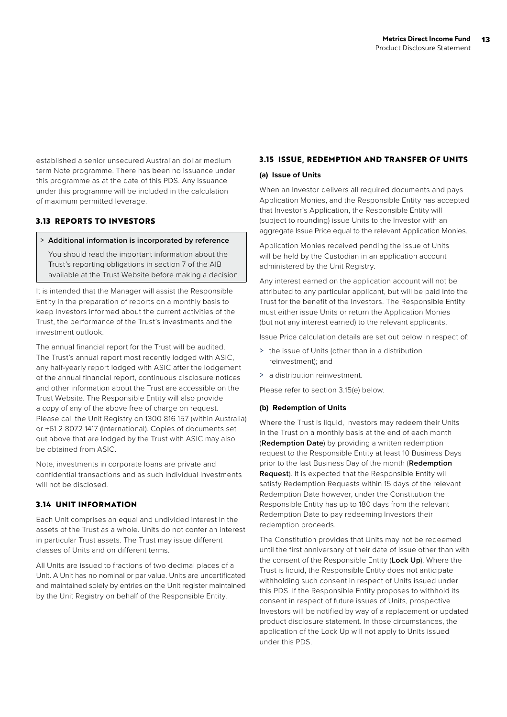established a senior unsecured Australian dollar medium term Note programme. There has been no issuance under this programme as at the date of this PDS. Any issuance under this programme will be included in the calculation of maximum permitted leverage.

## **3.13 REPORTS TO INVESTORS**

#### > **Additional information is incorporated by reference**

You should read the important information about the Trust's reporting obligations in section 7 of the AIB available at the Trust Website before making a decision.

It is intended that the Manager will assist the Responsible Entity in the preparation of reports on a monthly basis to keep Investors informed about the current activities of the Trust, the performance of the Trust's investments and the investment outlook.

The annual financial report for the Trust will be audited. The Trust's annual report most recently lodged with ASIC, any half-yearly report lodged with ASIC after the lodgement of the annual financial report, continuous disclosure notices and other information about the Trust are accessible on the Trust Website. The Responsible Entity will also provide a copy of any of the above free of charge on request. Please call the Unit Registry on 1300 816 157 (within Australia) or +61 2 8072 1417 (International). Copies of documents set out above that are lodged by the Trust with ASIC may also be obtained from ASIC.

Note, investments in corporate loans are private and confidential transactions and as such individual investments will not be disclosed.

## **3.14 UNIT INFORMATION**

Each Unit comprises an equal and undivided interest in the assets of the Trust as a whole. Units do not confer an interest in particular Trust assets. The Trust may issue different classes of Units and on different terms.

All Units are issued to fractions of two decimal places of a Unit. A Unit has no nominal or par value. Units are uncertificated and maintained solely by entries on the Unit register maintained by the Unit Registry on behalf of the Responsible Entity.

## **3.15 ISSUE, REDEMPTION AND TRANSFER OF UNITS**

### **(a) Issue of Units**

When an Investor delivers all required documents and pays Application Monies, and the Responsible Entity has accepted that Investor's Application, the Responsible Entity will (subject to rounding) issue Units to the Investor with an aggregate Issue Price equal to the relevant Application Monies.

Application Monies received pending the issue of Units will be held by the Custodian in an application account administered by the Unit Registry.

Any interest earned on the application account will not be attributed to any particular applicant, but will be paid into the Trust for the benefit of the Investors. The Responsible Entity must either issue Units or return the Application Monies (but not any interest earned) to the relevant applicants.

Issue Price calculation details are set out below in respect of:

- > the issue of Units (other than in a distribution reinvestment); and
- > a distribution reinvestment.

Please refer to section 3.15(e) below.

#### **(b) Redemption of Units**

Where the Trust is liquid, Investors may redeem their Units in the Trust on a monthly basis at the end of each month (**Redemption Date**) by providing a written redemption request to the Responsible Entity at least 10 Business Days prior to the last Business Day of the month (**Redemption Request**). It is expected that the Responsible Entity will satisfy Redemption Requests within 15 days of the relevant Redemption Date however, under the Constitution the Responsible Entity has up to 180 days from the relevant Redemption Date to pay redeeming Investors their redemption proceeds.

The Constitution provides that Units may not be redeemed until the first anniversary of their date of issue other than with the consent of the Responsible Entity (**Lock Up**). Where the Trust is liquid, the Responsible Entity does not anticipate withholding such consent in respect of Units issued under this PDS. If the Responsible Entity proposes to withhold its consent in respect of future issues of Units, prospective Investors will be notified by way of a replacement or updated product disclosure statement. In those circumstances, the application of the Lock Up will not apply to Units issued under this PDS.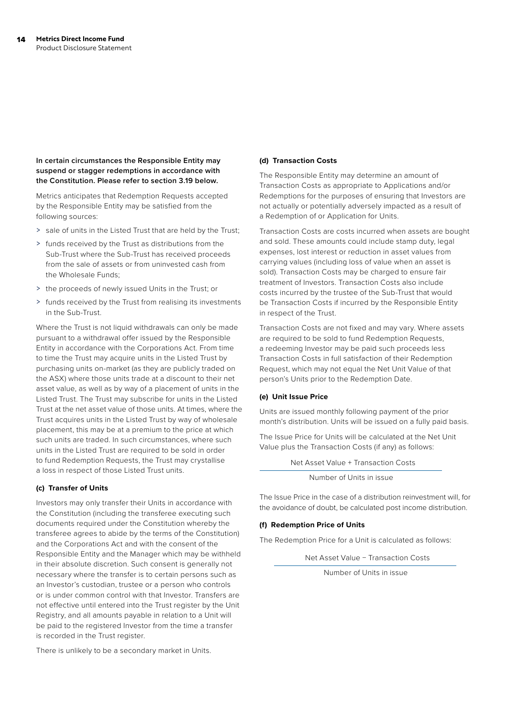## **In certain circumstances the Responsible Entity may suspend or stagger redemptions in accordance with the Constitution. Please refer to section 3.19 below.**

Metrics anticipates that Redemption Requests accepted by the Responsible Entity may be satisfied from the following sources:

- > sale of units in the Listed Trust that are held by the Trust;
- > funds received by the Trust as distributions from the Sub-Trust where the Sub-Trust has received proceeds from the sale of assets or from uninvested cash from the Wholesale Funds;
- > the proceeds of newly issued Units in the Trust; or
- > funds received by the Trust from realising its investments in the Sub-Trust.

Where the Trust is not liquid withdrawals can only be made pursuant to a withdrawal offer issued by the Responsible Entity in accordance with the Corporations Act. From time to time the Trust may acquire units in the Listed Trust by purchasing units on-market (as they are publicly traded on the ASX) where those units trade at a discount to their net asset value, as well as by way of a placement of units in the Listed Trust. The Trust may subscribe for units in the Listed Trust at the net asset value of those units. At times, where the Trust acquires units in the Listed Trust by way of wholesale placement, this may be at a premium to the price at which such units are traded. In such circumstances, where such units in the Listed Trust are required to be sold in order to fund Redemption Requests, the Trust may crystallise a loss in respect of those Listed Trust units.

### **(c) Transfer of Units**

Investors may only transfer their Units in accordance with the Constitution (including the transferee executing such documents required under the Constitution whereby the transferee agrees to abide by the terms of the Constitution) and the Corporations Act and with the consent of the Responsible Entity and the Manager which may be withheld in their absolute discretion. Such consent is generally not necessary where the transfer is to certain persons such as an Investor's custodian, trustee or a person who controls or is under common control with that Investor. Transfers are not effective until entered into the Trust register by the Unit Registry, and all amounts payable in relation to a Unit will be paid to the registered Investor from the time a transfer is recorded in the Trust register.

There is unlikely to be a secondary market in Units.

#### **(d) Transaction Costs**

The Responsible Entity may determine an amount of Transaction Costs as appropriate to Applications and/or Redemptions for the purposes of ensuring that Investors are not actually or potentially adversely impacted as a result of a Redemption of or Application for Units.

Transaction Costs are costs incurred when assets are bought and sold. These amounts could include stamp duty, legal expenses, lost interest or reduction in asset values from carrying values (including loss of value when an asset is sold). Transaction Costs may be charged to ensure fair treatment of Investors. Transaction Costs also include costs incurred by the trustee of the Sub-Trust that would be Transaction Costs if incurred by the Responsible Entity in respect of the Trust.

Transaction Costs are not fixed and may vary. Where assets are required to be sold to fund Redemption Requests, a redeeming Investor may be paid such proceeds less Transaction Costs in full satisfaction of their Redemption Request, which may not equal the Net Unit Value of that person's Units prior to the Redemption Date.

#### **(e) Unit Issue Price**

Units are issued monthly following payment of the prior month's distribution. Units will be issued on a fully paid basis.

The Issue Price for Units will be calculated at the Net Unit Value plus the Transaction Costs (if any) as follows:

> Net Asset Value + Transaction Costs Number of Units in issue

The Issue Price in the case of a distribution reinvestment will, for the avoidance of doubt, be calculated post income distribution.

#### **(f) Redemption Price of Units**

The Redemption Price for a Unit is calculated as follows:

Net Asset Value − Transaction Costs

Number of Units in issue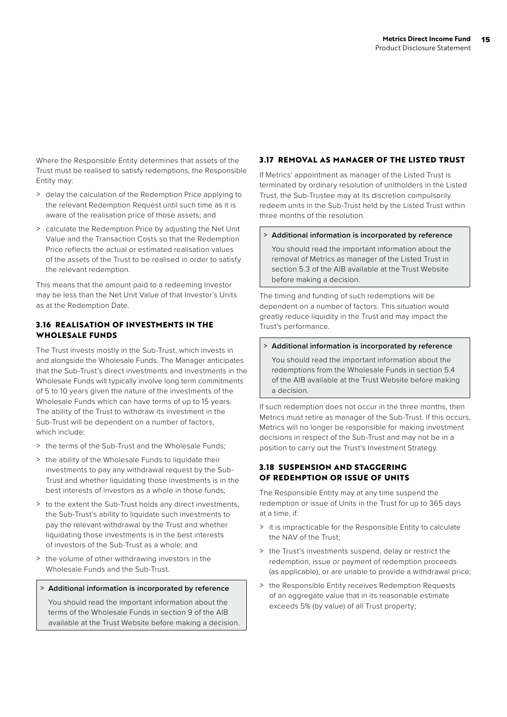Where the Responsible Entity determines that assets of the Trust must be realised to satisfy redemptions, the Responsible Entity may:

- > delay the calculation of the Redemption Price applying to the relevant Redemption Request until such time as it is aware of the realisation price of those assets; and
- > calculate the Redemption Price by adjusting the Net Unit Value and the Transaction Costs so that the Redemption Price reflects the actual or estimated realisation values of the assets of the Trust to be realised in order to satisfy the relevant redemption.

This means that the amount paid to a redeeming Investor may be less than the Net Unit Value of that Investor's Units as at the Redemption Date.

## **3.16 REALISATION OF INVESTMENTS IN THE WHOLESALE FUNDS**

The Trust invests mostly in the Sub-Trust, which invests in and alongside the Wholesale Funds. The Manager anticipates that the Sub-Trust's direct investments and investments in the Wholesale Funds will typically involve long term commitments of 5 to 10 years given the nature of the investments of the Wholesale Funds which can have terms of up to 15 years. The ability of the Trust to withdraw its investment in the Sub-Trust will be dependent on a number of factors, which include:

- > the terms of the Sub-Trust and the Wholesale Funds;
- > the ability of the Wholesale Funds to liquidate their investments to pay any withdrawal request by the Sub-Trust and whether liquidating those investments is in the best interests of investors as a whole in those funds;
- > to the extent the Sub-Trust holds any direct investments, the Sub-Trust's ability to liquidate such investments to pay the relevant withdrawal by the Trust and whether liquidating those investments is in the best interests of investors of the Sub-Trust as a whole; and
- > the volume of other withdrawing investors in the Wholesale Funds and the Sub-Trust.

#### > **Additional information is incorporated by reference**

You should read the important information about the terms of the Wholesale Funds in section 9 of the AIB available at the Trust Website before making a decision.

## **3.17 REMOVAL AS MANAGER OF THE LISTED TRUST**

If Metrics' appointment as manager of the Listed Trust is terminated by ordinary resolution of unitholders in the Listed Trust, the Sub-Trustee may at its discretion compulsorily redeem units in the Sub-Trust held by the Listed Trust within three months of the resolution.

#### > **Additional information is incorporated by reference**

You should read the important information about the removal of Metrics as manager of the Listed Trust in section 5.3 of the AIB available at the Trust Website before making a decision.

The timing and funding of such redemptions will be dependent on a number of factors. This situation would greatly reduce liquidity in the Trust and may impact the Trust's performance.

### > **Additional information is incorporated by reference**

You should read the important information about the redemptions from the Wholesale Funds in section 5.4 of the AIB available at the Trust Website before making a decision.

If such redemption does not occur in the three months, then Metrics must retire as manager of the Sub-Trust. If this occurs, Metrics will no longer be responsible for making investment decisions in respect of the Sub-Trust and may not be in a position to carry out the Trust's Investment Strategy.

## **3.18 SUSPENSION AND STAGGERING OF REDEMPTION OR ISSUE OF UNITS**

The Responsible Entity may at any time suspend the redemption or issue of Units in the Trust for up to 365 days at a time, if:

- > it is impracticable for the Responsible Entity to calculate the NAV of the Trust;
- > the Trust's investments suspend, delay or restrict the redemption, issue or payment of redemption proceeds (as applicable), or are unable to provide a withdrawal price;
- > the Responsible Entity receives Redemption Requests of an aggregate value that in its reasonable estimate exceeds 5% (by value) of all Trust property;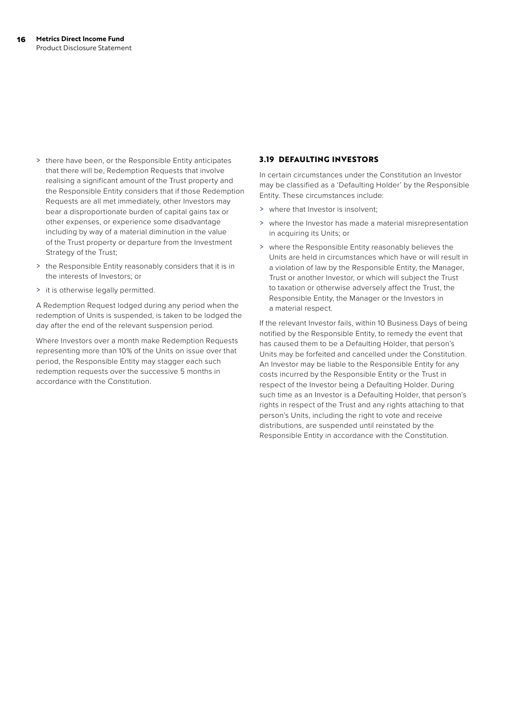- > there have been, or the Responsible Entity anticipates that there will be, Redemption Requests that involve realising a significant amount of the Trust property and the Responsible Entity considers that if those Redemption Requests are all met immediately, other Investors may bear a disproportionate burden of capital gains tax or other expenses, or experience some disadvantage including by way of a material diminution in the value of the Trust property or departure from the Investment Strategy of the Trust;
- > the Responsible Entity reasonably considers that it is in the interests of Investors; or
- > it is otherwise legally permitted.

A Redemption Request lodged during any period when the redemption of Units is suspended, is taken to be lodged the day after the end of the relevant suspension period.

Where Investors over a month make Redemption Requests representing more than 10% of the Units on issue over that period, the Responsible Entity may stagger each such redemption requests over the successive 5 months in accordance with the Constitution.

### **3.19 DEFAULTING INVESTORS**

In certain circumstances under the Constitution an Investor may be classified as a 'Defaulting Holder' by the Responsible Entity. These circumstances include:

- > where that Investor is insolvent;
- > where the Investor has made a material misrepresentation in acquiring its Units; or
- > where the Responsible Entity reasonably believes the Units are held in circumstances which have or will result in a violation of law by the Responsible Entity, the Manager, Trust or another Investor, or which will subject the Trust to taxation or otherwise adversely affect the Trust, the Responsible Entity, the Manager or the Investors in a material respect.

If the relevant Investor fails, within 10 Business Days of being notified by the Responsible Entity, to remedy the event that has caused them to be a Defaulting Holder, that person's Units may be forfeited and cancelled under the Constitution. An Investor may be liable to the Responsible Entity for any costs incurred by the Responsible Entity or the Trust in respect of the Investor being a Defaulting Holder. During such time as an Investor is a Defaulting Holder, that person's rights in respect of the Trust and any rights attaching to that person's Units, including the right to vote and receive distributions, are suspended until reinstated by the Responsible Entity in accordance with the Constitution.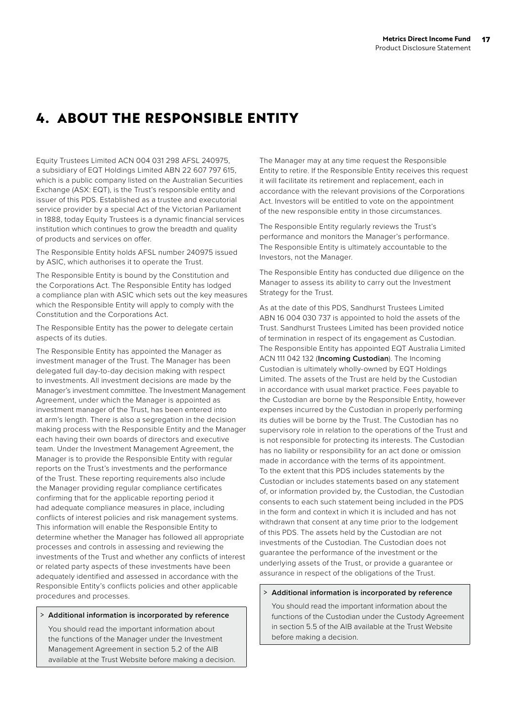## **4. ABOUT THE RESPONSIBLE ENTITY**

Equity Trustees Limited ACN 004 031 298 AFSL 240975, a subsidiary of EQT Holdings Limited ABN 22 607 797 615, which is a public company listed on the Australian Securities Exchange (ASX: EQT), is the Trust's responsible entity and issuer of this PDS. Established as a trustee and executorial service provider by a special Act of the Victorian Parliament in 1888, today Equity Trustees is a dynamic financial services institution which continues to grow the breadth and quality of products and services on offer.

The Responsible Entity holds AFSL number 240975 issued by ASIC, which authorises it to operate the Trust.

The Responsible Entity is bound by the Constitution and the Corporations Act. The Responsible Entity has lodged a compliance plan with ASIC which sets out the key measures which the Responsible Entity will apply to comply with the Constitution and the Corporations Act.

The Responsible Entity has the power to delegate certain aspects of its duties.

The Responsible Entity has appointed the Manager as investment manager of the Trust. The Manager has been delegated full day-to-day decision making with respect to investments. All investment decisions are made by the Manager's investment committee. The Investment Management Agreement, under which the Manager is appointed as investment manager of the Trust, has been entered into at arm's length. There is also a segregation in the decision making process with the Responsible Entity and the Manager each having their own boards of directors and executive team. Under the Investment Management Agreement, the Manager is to provide the Responsible Entity with regular reports on the Trust's investments and the performance of the Trust. These reporting requirements also include the Manager providing regular compliance certificates confirming that for the applicable reporting period it had adequate compliance measures in place, including conflicts of interest policies and risk management systems. This information will enable the Responsible Entity to determine whether the Manager has followed all appropriate processes and controls in assessing and reviewing the investments of the Trust and whether any conflicts of interest or related party aspects of these investments have been adequately identified and assessed in accordance with the Responsible Entity's conflicts policies and other applicable procedures and processes.

## > **Additional information is incorporated by reference**

You should read the important information about the functions of the Manager under the Investment Management Agreement in section 5.2 of the AIB available at the Trust Website before making a decision. The Manager may at any time request the Responsible Entity to retire. If the Responsible Entity receives this request it will facilitate its retirement and replacement, each in accordance with the relevant provisions of the Corporations Act. Investors will be entitled to vote on the appointment of the new responsible entity in those circumstances.

The Responsible Entity regularly reviews the Trust's performance and monitors the Manager's performance. The Responsible Entity is ultimately accountable to the Investors, not the Manager.

The Responsible Entity has conducted due diligence on the Manager to assess its ability to carry out the Investment Strategy for the Trust.

As at the date of this PDS, Sandhurst Trustees Limited ABN 16 004 030 737 is appointed to hold the assets of the Trust. Sandhurst Trustees Limited has been provided notice of termination in respect of its engagement as Custodian. The Responsible Entity has appointed EQT Australia Limited ACN 111 042 132 (**Incoming Custodian**). The Incoming Custodian is ultimately wholly-owned by EQT Holdings Limited. The assets of the Trust are held by the Custodian in accordance with usual market practice. Fees payable to the Custodian are borne by the Responsible Entity, however expenses incurred by the Custodian in properly performing its duties will be borne by the Trust. The Custodian has no supervisory role in relation to the operations of the Trust and is not responsible for protecting its interests. The Custodian has no liability or responsibility for an act done or omission made in accordance with the terms of its appointment. To the extent that this PDS includes statements by the Custodian or includes statements based on any statement of, or information provided by, the Custodian, the Custodian consents to each such statement being included in the PDS in the form and context in which it is included and has not withdrawn that consent at any time prior to the lodgement of this PDS. The assets held by the Custodian are not investments of the Custodian. The Custodian does not guarantee the performance of the investment or the underlying assets of the Trust, or provide a guarantee or assurance in respect of the obligations of the Trust.

#### > **Additional information is incorporated by reference**

You should read the important information about the functions of the Custodian under the Custody Agreement in section 5.5 of the AIB available at the Trust Website before making a decision.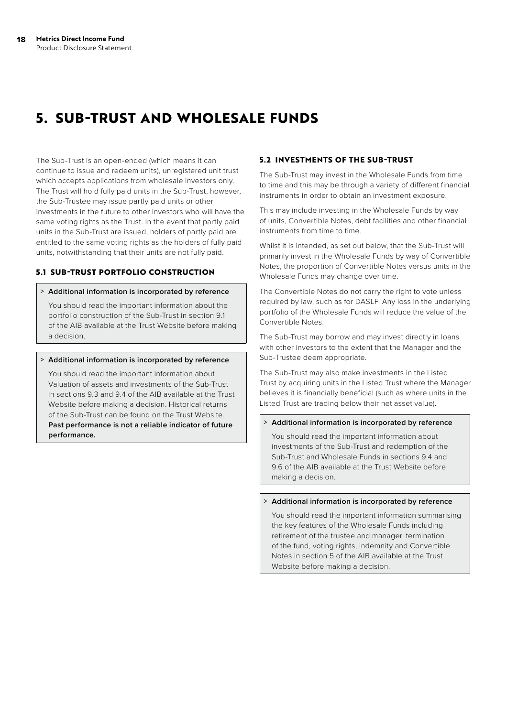## **5. SUB-TRUST AND WHOLESALE FUNDS**

The Sub-Trust is an open-ended (which means it can continue to issue and redeem units), unregistered unit trust which accepts applications from wholesale investors only. The Trust will hold fully paid units in the Sub-Trust, however, the Sub-Trustee may issue partly paid units or other investments in the future to other investors who will have the same voting rights as the Trust. In the event that partly paid units in the Sub-Trust are issued, holders of partly paid are entitled to the same voting rights as the holders of fully paid units, notwithstanding that their units are not fully paid.

## **5.1 SUB-TRUST PORTFOLIO CONSTRUCTION**

#### > **Additional information is incorporated by reference**

You should read the important information about the portfolio construction of the Sub-Trust in section 9.1 of the AIB available at the Trust Website before making a decision.

## > **Additional information is incorporated by reference**

You should read the important information about Valuation of assets and investments of the Sub-Trust in sections 9.3 and 9.4 of the AIB available at the Trust Website before making a decision. Historical returns of the Sub-Trust can be found on the Trust Website. **Past performance is not a reliable indicator of future performance.**

### **5.2 INVESTMENTS OF THE SUB-TRUST**

The Sub-Trust may invest in the Wholesale Funds from time to time and this may be through a variety of different financial instruments in order to obtain an investment exposure.

This may include investing in the Wholesale Funds by way of units, Convertible Notes, debt facilities and other financial instruments from time to time.

Whilst it is intended, as set out below, that the Sub-Trust will primarily invest in the Wholesale Funds by way of Convertible Notes, the proportion of Convertible Notes versus units in the Wholesale Funds may change over time.

The Convertible Notes do not carry the right to vote unless required by law, such as for DASLF. Any loss in the underlying portfolio of the Wholesale Funds will reduce the value of the Convertible Notes.

The Sub-Trust may borrow and may invest directly in loans with other investors to the extent that the Manager and the Sub-Trustee deem appropriate.

The Sub-Trust may also make investments in the Listed Trust by acquiring units in the Listed Trust where the Manager believes it is financially beneficial (such as where units in the Listed Trust are trading below their net asset value).

#### > **Additional information is incorporated by reference**

You should read the important information about investments of the Sub-Trust and redemption of the Sub-Trust and Wholesale Funds in sections 9.4 and 9.6 of the AIB available at the Trust Website before making a decision.

#### > **Additional information is incorporated by reference**

You should read the important information summarising the key features of the Wholesale Funds including retirement of the trustee and manager, termination of the fund, voting rights, indemnity and Convertible Notes in section 5 of the AIB available at the Trust Website before making a decision.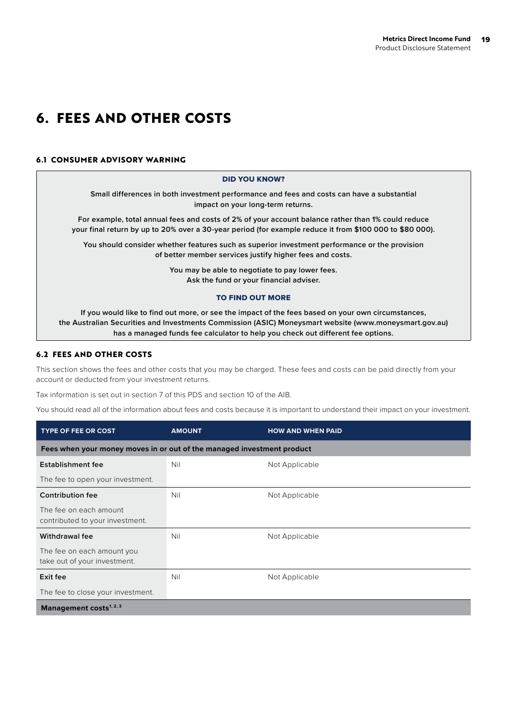## **6. FEES AND OTHER COSTS**

## **6.1 CONSUMER ADVISORY WARNING**

#### DID YOU KNOW?

**Small differences in both investment performance and fees and costs can have a substantial impact on your long-term returns.**

**For example, total annual fees and costs of 2% of your account balance rather than 1% could reduce your final return by up to 20% over a 30-year period (for example reduce it from \$100 000 to \$80 000).**

**You should consider whether features such as superior investment performance or the provision of better member services justify higher fees and costs.**

> **You may be able to negotiate to pay lower fees. Ask the fund or your financial adviser.**

#### TO FIND OUT MORE

**If you would like to find out more, or see the impact of the fees based on your own circumstances, the Australian Securities and Investments Commission (ASIC) Moneysmart website (www.moneysmart.gov.au) has a managed funds fee calculator to help you check out different fee options.**

## **6.2 FEES AND OTHER COSTS**

This section shows the fees and other costs that you may be charged. These fees and costs can be paid directly from your account or deducted from your investment returns.

Tax information is set out in section 7 of this PDS and section 10 of the AIB.

You should read all of the information about fees and costs because it is important to understand their impact on your investment.

| <b>TYPE OF FEE OR COST</b>                                             | <b>AMOUNT</b> | <b>HOW AND WHEN PAID</b> |
|------------------------------------------------------------------------|---------------|--------------------------|
| Fees when your money moves in or out of the managed investment product |               |                          |
| Establishment fee                                                      | Nil           | Not Applicable           |
| The fee to open your investment.                                       |               |                          |
| <b>Contribution fee</b>                                                | Nil           | Not Applicable           |
| The fee on each amount<br>contributed to your investment.              |               |                          |
| Withdrawal fee                                                         | Nil           | Not Applicable           |
| The fee on each amount you<br>take out of your investment.             |               |                          |
| Exit fee                                                               | Nil           | Not Applicable           |
| The fee to close your investment.                                      |               |                          |
| Management costs $1, 2, 3$                                             |               |                          |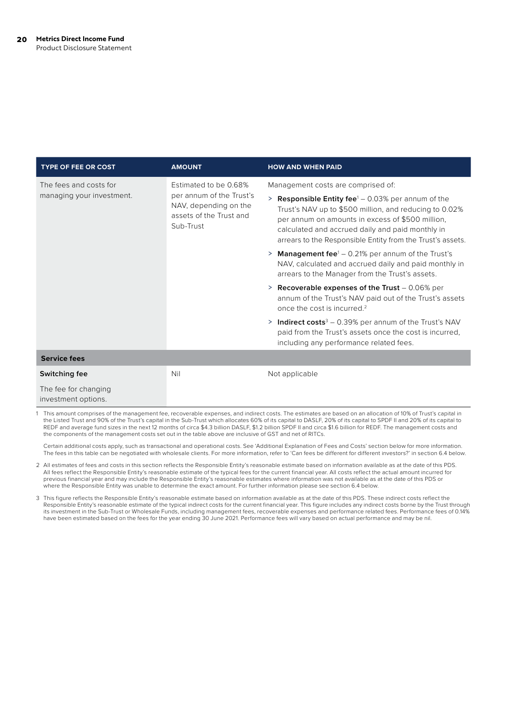| <b>TYPE OF FEE OR COST</b>                          | <b>AMOUNT</b>                                                                                                      | <b>HOW AND WHEN PAID</b>                                                                                                                                                                                                                                                                                                                                                                                                                                                                                                                                                                                                                                                                                                                                                                                                                                                  |
|-----------------------------------------------------|--------------------------------------------------------------------------------------------------------------------|---------------------------------------------------------------------------------------------------------------------------------------------------------------------------------------------------------------------------------------------------------------------------------------------------------------------------------------------------------------------------------------------------------------------------------------------------------------------------------------------------------------------------------------------------------------------------------------------------------------------------------------------------------------------------------------------------------------------------------------------------------------------------------------------------------------------------------------------------------------------------|
| The fees and costs for<br>managing your investment. | Estimated to be 0.68%<br>per annum of the Trust's<br>NAV, depending on the<br>assets of the Trust and<br>Sub-Trust | Management costs are comprised of:<br>> <b>Responsible Entity fee</b> <sup>1</sup> $-$ 0.03% per annum of the<br>Trust's NAV up to \$500 million, and reducing to 0.02%<br>per annum on amounts in excess of \$500 million,<br>calculated and accrued daily and paid monthly in<br>arrears to the Responsible Entity from the Trust's assets.<br>> Management fee <sup>1</sup> - 0.21% per annum of the Trust's<br>NAV, calculated and accrued daily and paid monthly in<br>arrears to the Manager from the Trust's assets.<br>> Recoverable expenses of the Trust $-0.06\%$ per<br>annum of the Trust's NAV paid out of the Trust's assets<br>once the cost is incurred. <sup>2</sup><br><b>Indirect costs</b> $3 - 0.39\%$ per annum of the Trust's NAV<br>$\geq$<br>paid from the Trust's assets once the cost is incurred,<br>including any performance related fees. |
| <b>Service fees</b>                                 |                                                                                                                    |                                                                                                                                                                                                                                                                                                                                                                                                                                                                                                                                                                                                                                                                                                                                                                                                                                                                           |
| Switching fee                                       | Nil                                                                                                                | Not applicable                                                                                                                                                                                                                                                                                                                                                                                                                                                                                                                                                                                                                                                                                                                                                                                                                                                            |
| The fee for changing<br>investment options.         |                                                                                                                    |                                                                                                                                                                                                                                                                                                                                                                                                                                                                                                                                                                                                                                                                                                                                                                                                                                                                           |

1 This amount comprises of the management fee, recoverable expenses, and indirect costs. The estimates are based on an allocation of 10% of Trust's capital in the Listed Trust and 90% of the Trust's capital in the Sub-Trust which allocates 60% of its capital to DASLF, 20% of its capital to SPDF II and 20% of its capital to REDF and average fund sizes in the next 12 months of circa \$4.3 billion DASLF, \$1.2 billion SPDF II and circa \$1.6 billion for REDF. The management costs and the components of the management costs set out in the table above are inclusive of GST and net of RITCs.

Certain additional costs apply, such as transactional and operational costs. See 'Additional Explanation of Fees and Costs' section below for more information. The fees in this table can be negotiated with wholesale clients. For more information, refer to 'Can fees be different for different investors?' in section 6.4 below.

2 All estimates of fees and costs in this section reflects the Responsible Entity's reasonable estimate based on information available as at the date of this PDS. All fees reflect the Responsible Entity's reasonable estimate of the typical fees for the current financial year. All costs reflect the actual amount incurred for<br>previous financial year and may include the Responsible Ent where the Responsible Entity was unable to determine the exact amount. For further information please see section 6.4 below.

3 This figure reflects the Responsible Entity's reasonable estimate based on information available as at the date of this PDS. These indirect costs reflect the Responsible Entity's reasonable estimate of the typical indirect costs for the current financial year. This figure includes any indirect costs borne by the Trust through its investment in the Sub-Trust or Wholesale Funds, including management fees, recoverable expenses and performance related fees. Performance fees of 0.14%<br>have been estimated based on the fees for the year ending 30 June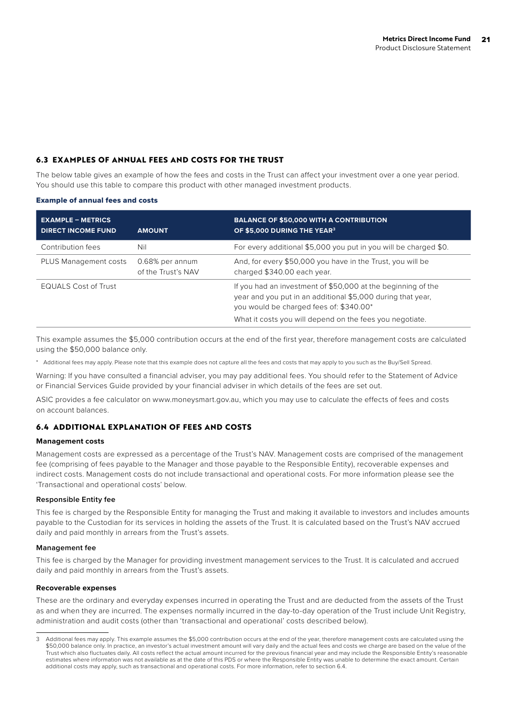## **6.3 EXAMPLES OF ANNUAL FEES AND COSTS FOR THE TRUST**

The below table gives an example of how the fees and costs in the Trust can affect your investment over a one year period. You should use this table to compare this product with other managed investment products.

#### Example of annual fees and costs

| <b>EXAMPLE - METRICS</b><br><b>DIRECT INCOME FUND</b> | <b>AMOUNT</b>                         | <b>BALANCE OF \$50,000 WITH A CONTRIBUTION</b><br>OF \$5,000 DURING THE YEAR <sup>3</sup>                                                                              |
|-------------------------------------------------------|---------------------------------------|------------------------------------------------------------------------------------------------------------------------------------------------------------------------|
| Contribution fees                                     | Nil                                   | For every additional \$5,000 you put in you will be charged \$0.                                                                                                       |
| PLUS Management costs                                 | 0.68% per annum<br>of the Trust's NAV | And, for every \$50,000 you have in the Trust, you will be<br>charged \$340.00 each year.                                                                              |
| <b>EQUALS Cost of Trust</b>                           |                                       | If you had an investment of \$50,000 at the beginning of the<br>year and you put in an additional \$5,000 during that year,<br>you would be charged fees of: \$340.00* |
|                                                       |                                       | What it costs you will depend on the fees you negotiate.                                                                                                               |

This example assumes the \$5,000 contribution occurs at the end of the first year, therefore management costs are calculated using the \$50,000 balance only.

\* Additional fees may apply. Please note that this example does not capture all the fees and costs that may apply to you such as the Buy/Sell Spread.

Warning: If you have consulted a financial adviser, you may pay additional fees. You should refer to the Statement of Advice or Financial Services Guide provided by your financial adviser in which details of the fees are set out.

ASIC provides a fee calculator on www.moneysmart.gov.au, which you may use to calculate the effects of fees and costs on account balances.

## **6.4 ADDITIONAL EXPLANATION OF FEES AND COSTS**

#### **Management costs**

Management costs are expressed as a percentage of the Trust's NAV. Management costs are comprised of the management fee (comprising of fees payable to the Manager and those payable to the Responsible Entity), recoverable expenses and indirect costs. Management costs do not include transactional and operational costs. For more information please see the 'Transactional and operational costs' below.

#### **Responsible Entity fee**

This fee is charged by the Responsible Entity for managing the Trust and making it available to investors and includes amounts payable to the Custodian for its services in holding the assets of the Trust. It is calculated based on the Trust's NAV accrued daily and paid monthly in arrears from the Trust's assets.

#### **Management fee**

This fee is charged by the Manager for providing investment management services to the Trust. It is calculated and accrued daily and paid monthly in arrears from the Trust's assets.

#### **Recoverable expenses**

These are the ordinary and everyday expenses incurred in operating the Trust and are deducted from the assets of the Trust as and when they are incurred. The expenses normally incurred in the day-to-day operation of the Trust include Unit Registry, administration and audit costs (other than 'transactional and operational' costs described below).

<sup>3</sup> Additional fees may apply. This example assumes the \$5,000 contribution occurs at the end of the year, therefore management costs are calculated using the \$50,000 balance only. In practice, an investor's actual investment amount will vary daily and the actual fees and costs we charge are based on the value of the Trust which also fluctuates daily. All costs reflect the actual amount incurred for the previous financial year and may include the Responsible Entity's reasonable estimates where information was not available as at the date of this PDS or where the Responsible Entity was unable to determine the exact amount. Certain additional costs may apply, such as transactional and operational costs. For more information, refer to section 6.4.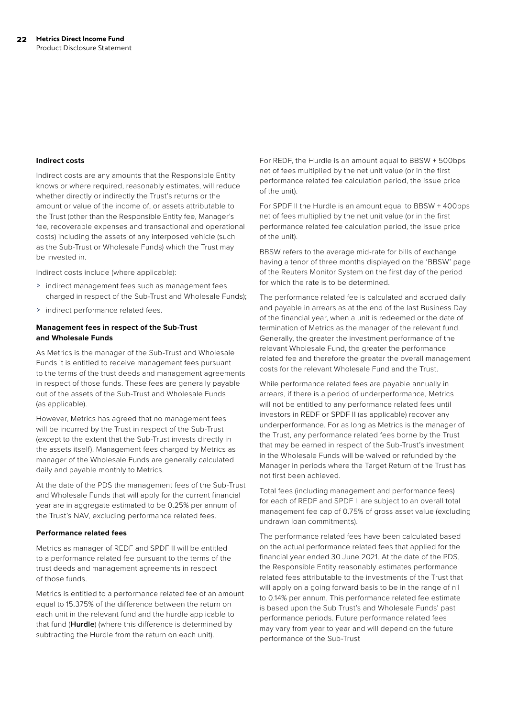#### **Indirect costs**

Indirect costs are any amounts that the Responsible Entity knows or where required, reasonably estimates, will reduce whether directly or indirectly the Trust's returns or the amount or value of the income of, or assets attributable to the Trust (other than the Responsible Entity fee, Manager's fee, recoverable expenses and transactional and operational costs) including the assets of any interposed vehicle (such as the Sub-Trust or Wholesale Funds) which the Trust may be invested in.

Indirect costs include (where applicable):

- > indirect management fees such as management fees charged in respect of the Sub-Trust and Wholesale Funds);
- > indirect performance related fees.

### **Management fees in respect of the Sub-Trust and Wholesale Funds**

As Metrics is the manager of the Sub-Trust and Wholesale Funds it is entitled to receive management fees pursuant to the terms of the trust deeds and management agreements in respect of those funds. These fees are generally payable out of the assets of the Sub-Trust and Wholesale Funds (as applicable).

However, Metrics has agreed that no management fees will be incurred by the Trust in respect of the Sub-Trust (except to the extent that the Sub-Trust invests directly in the assets itself). Management fees charged by Metrics as manager of the Wholesale Funds are generally calculated daily and payable monthly to Metrics.

At the date of the PDS the management fees of the Sub-Trust and Wholesale Funds that will apply for the current financial year are in aggregate estimated to be 0.25% per annum of the Trust's NAV, excluding performance related fees.

#### **Performance related fees**

Metrics as manager of REDF and SPDF II will be entitled to a performance related fee pursuant to the terms of the trust deeds and management agreements in respect of those funds.

Metrics is entitled to a performance related fee of an amount equal to 15.375% of the difference between the return on each unit in the relevant fund and the hurdle applicable to that fund (**Hurdle**) (where this difference is determined by subtracting the Hurdle from the return on each unit).

For REDF, the Hurdle is an amount equal to BBSW + 500bps net of fees multiplied by the net unit value (or in the first performance related fee calculation period, the issue price of the unit).

For SPDF II the Hurdle is an amount equal to BBSW + 400bps net of fees multiplied by the net unit value (or in the first performance related fee calculation period, the issue price of the unit).

BBSW refers to the average mid-rate for bills of exchange having a tenor of three months displayed on the 'BBSW' page of the Reuters Monitor System on the first day of the period for which the rate is to be determined.

The performance related fee is calculated and accrued daily and payable in arrears as at the end of the last Business Day of the financial year, when a unit is redeemed or the date of termination of Metrics as the manager of the relevant fund. Generally, the greater the investment performance of the relevant Wholesale Fund, the greater the performance related fee and therefore the greater the overall management costs for the relevant Wholesale Fund and the Trust.

While performance related fees are payable annually in arrears, if there is a period of underperformance, Metrics will not be entitled to any performance related fees until investors in REDF or SPDF II (as applicable) recover any underperformance. For as long as Metrics is the manager of the Trust, any performance related fees borne by the Trust that may be earned in respect of the Sub-Trust's investment in the Wholesale Funds will be waived or refunded by the Manager in periods where the Target Return of the Trust has not first been achieved.

Total fees (including management and performance fees) for each of REDF and SPDF II are subject to an overall total management fee cap of 0.75% of gross asset value (excluding undrawn loan commitments).

The performance related fees have been calculated based on the actual performance related fees that applied for the financial year ended 30 June 2021. At the date of the PDS, the Responsible Entity reasonably estimates performance related fees attributable to the investments of the Trust that will apply on a going forward basis to be in the range of nil to 0.14% per annum. This performance related fee estimate is based upon the Sub Trust's and Wholesale Funds' past performance periods. Future performance related fees may vary from year to year and will depend on the future performance of the Sub-Trust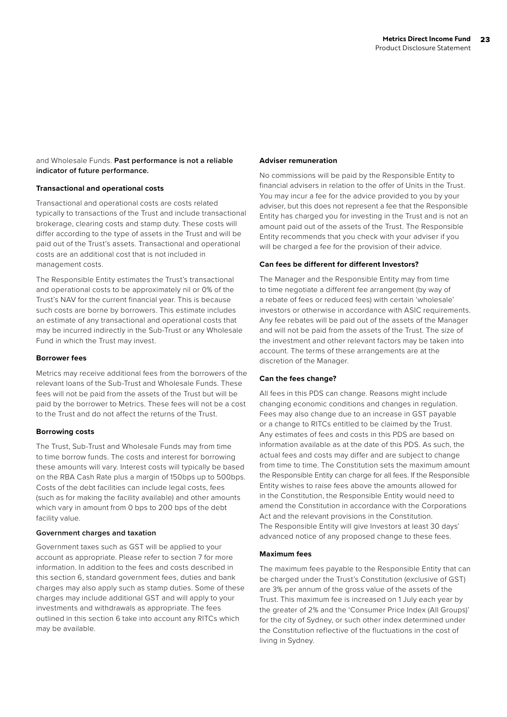and Wholesale Funds. **Past performance is not a reliable indicator of future performance.**

#### **Transactional and operational costs**

Transactional and operational costs are costs related typically to transactions of the Trust and include transactional brokerage, clearing costs and stamp duty. These costs will differ according to the type of assets in the Trust and will be paid out of the Trust's assets. Transactional and operational costs are an additional cost that is not included in management costs.

The Responsible Entity estimates the Trust's transactional and operational costs to be approximately nil or 0% of the Trust's NAV for the current financial year. This is because such costs are borne by borrowers. This estimate includes an estimate of any transactional and operational costs that may be incurred indirectly in the Sub-Trust or any Wholesale Fund in which the Trust may invest.

#### **Borrower fees**

Metrics may receive additional fees from the borrowers of the relevant loans of the Sub-Trust and Wholesale Funds. These fees will not be paid from the assets of the Trust but will be paid by the borrower to Metrics. These fees will not be a cost to the Trust and do not affect the returns of the Trust.

#### **Borrowing costs**

The Trust, Sub-Trust and Wholesale Funds may from time to time borrow funds. The costs and interest for borrowing these amounts will vary. Interest costs will typically be based on the RBA Cash Rate plus a margin of 150bps up to 500bps. Costs of the debt facilities can include legal costs, fees (such as for making the facility available) and other amounts which vary in amount from 0 bps to 200 bps of the debt facility value.

#### **Government charges and taxation**

Government taxes such as GST will be applied to your account as appropriate. Please refer to section 7 for more information. In addition to the fees and costs described in this section 6, standard government fees, duties and bank charges may also apply such as stamp duties. Some of these charges may include additional GST and will apply to your investments and withdrawals as appropriate. The fees outlined in this section 6 take into account any RITCs which may be available.

#### **Adviser remuneration**

No commissions will be paid by the Responsible Entity to financial advisers in relation to the offer of Units in the Trust. You may incur a fee for the advice provided to you by your adviser, but this does not represent a fee that the Responsible Entity has charged you for investing in the Trust and is not an amount paid out of the assets of the Trust. The Responsible Entity recommends that you check with your adviser if you will be charged a fee for the provision of their advice.

#### **Can fees be different for different Investors?**

The Manager and the Responsible Entity may from time to time negotiate a different fee arrangement (by way of a rebate of fees or reduced fees) with certain 'wholesale' investors or otherwise in accordance with ASIC requirements. Any fee rebates will be paid out of the assets of the Manager and will not be paid from the assets of the Trust. The size of the investment and other relevant factors may be taken into account. The terms of these arrangements are at the discretion of the Manager.

#### **Can the fees change?**

All fees in this PDS can change. Reasons might include changing economic conditions and changes in regulation. Fees may also change due to an increase in GST payable or a change to RITCs entitled to be claimed by the Trust. Any estimates of fees and costs in this PDS are based on information available as at the date of this PDS. As such, the actual fees and costs may differ and are subject to change from time to time. The Constitution sets the maximum amount the Responsible Entity can charge for all fees. If the Responsible Entity wishes to raise fees above the amounts allowed for in the Constitution, the Responsible Entity would need to amend the Constitution in accordance with the Corporations Act and the relevant provisions in the Constitution. The Responsible Entity will give Investors at least 30 days' advanced notice of any proposed change to these fees.

#### **Maximum fees**

The maximum fees payable to the Responsible Entity that can be charged under the Trust's Constitution (exclusive of GST) are 3% per annum of the gross value of the assets of the Trust. This maximum fee is increased on 1 July each year by the greater of 2% and the 'Consumer Price Index (All Groups)' for the city of Sydney, or such other index determined under the Constitution reflective of the fluctuations in the cost of living in Sydney.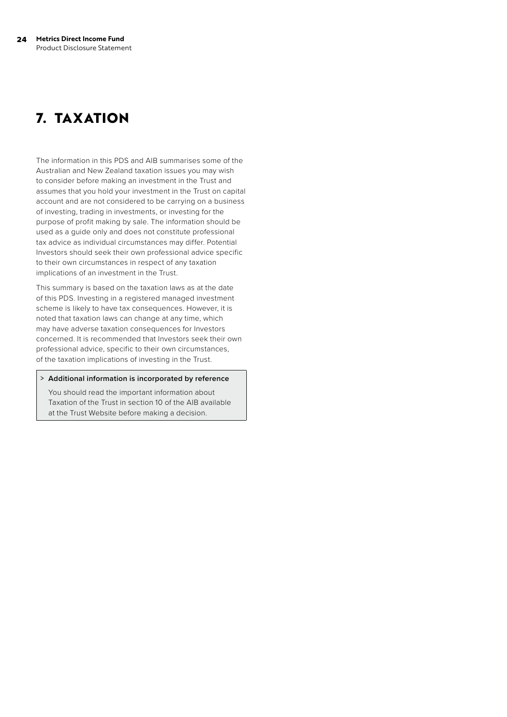## **7. TAXATION**

The information in this PDS and AIB summarises some of the Australian and New Zealand taxation issues you may wish to consider before making an investment in the Trust and assumes that you hold your investment in the Trust on capital account and are not considered to be carrying on a business of investing, trading in investments, or investing for the purpose of profit making by sale. The information should be used as a guide only and does not constitute professional tax advice as individual circumstances may differ. Potential Investors should seek their own professional advice specific to their own circumstances in respect of any taxation implications of an investment in the Trust.

This summary is based on the taxation laws as at the date of this PDS. Investing in a registered managed investment scheme is likely to have tax consequences. However, it is noted that taxation laws can change at any time, which may have adverse taxation consequences for Investors concerned. It is recommended that Investors seek their own professional advice, specific to their own circumstances, of the taxation implications of investing in the Trust.

## > **Additional information is incorporated by reference**

You should read the important information about Taxation of the Trust in section 10 of the AIB available at the Trust Website before making a decision.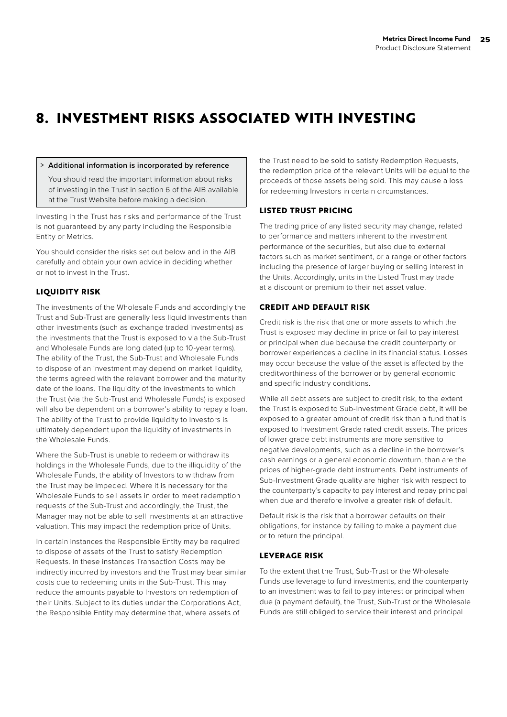## **8. INVESTMENT RISKS ASSOCIATED WITH INVESTING**

#### > **Additional information is incorporated by reference**

You should read the important information about risks of investing in the Trust in section 6 of the AIB available at the Trust Website before making a decision.

Investing in the Trust has risks and performance of the Trust is not guaranteed by any party including the Responsible Entity or Metrics.

You should consider the risks set out below and in the AIB carefully and obtain your own advice in deciding whether or not to invest in the Trust.

## **LIQUIDITY RISK**

The investments of the Wholesale Funds and accordingly the Trust and Sub-Trust are generally less liquid investments than other investments (such as exchange traded investments) as the investments that the Trust is exposed to via the Sub-Trust and Wholesale Funds are long dated (up to 10-year terms). The ability of the Trust, the Sub-Trust and Wholesale Funds to dispose of an investment may depend on market liquidity, the terms agreed with the relevant borrower and the maturity date of the loans. The liquidity of the investments to which the Trust (via the Sub-Trust and Wholesale Funds) is exposed will also be dependent on a borrower's ability to repay a loan. The ability of the Trust to provide liquidity to Investors is ultimately dependent upon the liquidity of investments in the Wholesale Funds.

Where the Sub-Trust is unable to redeem or withdraw its holdings in the Wholesale Funds, due to the illiquidity of the Wholesale Funds, the ability of Investors to withdraw from the Trust may be impeded. Where it is necessary for the Wholesale Funds to sell assets in order to meet redemption requests of the Sub-Trust and accordingly, the Trust, the Manager may not be able to sell investments at an attractive valuation. This may impact the redemption price of Units.

In certain instances the Responsible Entity may be required to dispose of assets of the Trust to satisfy Redemption Requests. In these instances Transaction Costs may be indirectly incurred by investors and the Trust may bear similar costs due to redeeming units in the Sub-Trust. This may reduce the amounts payable to Investors on redemption of their Units. Subject to its duties under the Corporations Act, the Responsible Entity may determine that, where assets of

the Trust need to be sold to satisfy Redemption Requests, the redemption price of the relevant Units will be equal to the proceeds of those assets being sold. This may cause a loss for redeeming Investors in certain circumstances.

## **LISTED TRUST PRICING**

The trading price of any listed security may change, related to performance and matters inherent to the investment performance of the securities, but also due to external factors such as market sentiment, or a range or other factors including the presence of larger buying or selling interest in the Units. Accordingly, units in the Listed Trust may trade at a discount or premium to their net asset value.

## **CREDIT AND DEFAULT RISK**

Credit risk is the risk that one or more assets to which the Trust is exposed may decline in price or fail to pay interest or principal when due because the credit counterparty or borrower experiences a decline in its financial status. Losses may occur because the value of the asset is affected by the creditworthiness of the borrower or by general economic and specific industry conditions.

While all debt assets are subject to credit risk, to the extent the Trust is exposed to Sub-Investment Grade debt, it will be exposed to a greater amount of credit risk than a fund that is exposed to Investment Grade rated credit assets. The prices of lower grade debt instruments are more sensitive to negative developments, such as a decline in the borrower's cash earnings or a general economic downturn, than are the prices of higher-grade debt instruments. Debt instruments of Sub-Investment Grade quality are higher risk with respect to the counterparty's capacity to pay interest and repay principal when due and therefore involve a greater risk of default.

Default risk is the risk that a borrower defaults on their obligations, for instance by failing to make a payment due or to return the principal.

#### **LEVERAGE RISK**

To the extent that the Trust, Sub-Trust or the Wholesale Funds use leverage to fund investments, and the counterparty to an investment was to fail to pay interest or principal when due (a payment default), the Trust, Sub-Trust or the Wholesale Funds are still obliged to service their interest and principal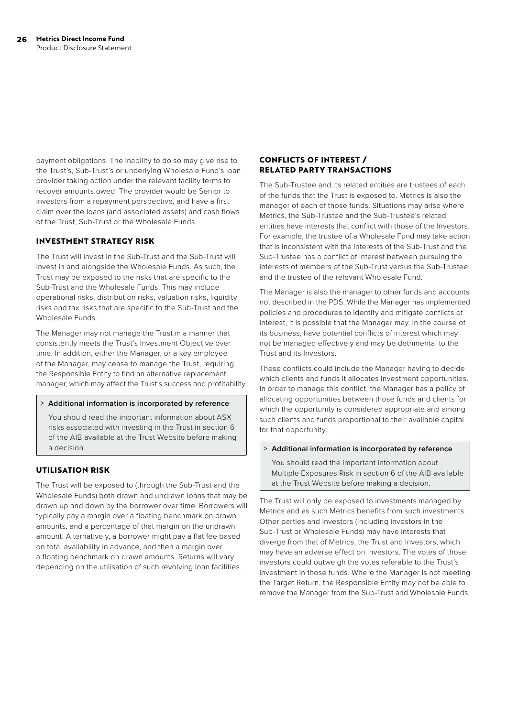payment obligations. The inability to do so may give rise to the Trust's, Sub-Trust's or underlying Wholesale Fund's loan provider taking action under the relevant facility terms to recover amounts owed. The provider would be Senior to investors from a repayment perspective, and have a first claim over the loans (and associated assets) and cash flows of the Trust, Sub-Trust or the Wholesale Funds.

## **INVESTMENT STRATEGY RISK**

The Trust will invest in the Sub-Trust and the Sub-Trust will invest in and alongside the Wholesale Funds. As such, the Trust may be exposed to the risks that are specific to the Sub-Trust and the Wholesale Funds. This may include operational risks, distribution risks, valuation risks, liquidity risks and tax risks that are specific to the Sub-Trust and the Wholesale Funds.

The Manager may not manage the Trust in a manner that consistently meets the Trust's Investment Objective over time. In addition, either the Manager, or a key employee of the Manager, may cease to manage the Trust, requiring the Responsible Entity to find an alternative replacement manager, which may affect the Trust's success and profitability.

#### > **Additional information is incorporated by reference**

You should read the important information about ASX risks associated with investing in the Trust in section 6 of the AIB available at the Trust Website before making a decision.

## **UTILISATION RISK**

The Trust will be exposed to (through the Sub-Trust and the Wholesale Funds) both drawn and undrawn loans that may be drawn up and down by the borrower over time. Borrowers will typically pay a margin over a floating benchmark on drawn amounts, and a percentage of that margin on the undrawn amount. Alternatively, a borrower might pay a flat fee based on total availability in advance, and then a margin over a floating benchmark on drawn amounts. Returns will vary depending on the utilisation of such revolving loan facilities.

## **CONFLICTS OF INTEREST / RELATED PARTY TRANSACTIONS**

The Sub-Trustee and its related entities are trustees of each of the funds that the Trust is exposed to. Metrics is also the manager of each of those funds. Situations may arise where Metrics, the Sub-Trustee and the Sub-Trustee's related entities have interests that conflict with those of the Investors. For example, the trustee of a Wholesale Fund may take action that is inconsistent with the interests of the Sub-Trust and the Sub-Trustee has a conflict of interest between pursuing the interests of members of the Sub-Trust versus the Sub-Trustee and the trustee of the relevant Wholesale Fund.

The Manager is also the manager to other funds and accounts not described in the PDS. While the Manager has implemented policies and procedures to identify and mitigate conflicts of interest, it is possible that the Manager may, in the course of its business, have potential conflicts of interest which may not be managed effectively and may be detrimental to the Trust and its Investors.

These conflicts could include the Manager having to decide which clients and funds it allocates investment opportunities. In order to manage this conflict, the Manager has a policy of allocating opportunities between those funds and clients for which the opportunity is considered appropriate and among such clients and funds proportional to their available capital for that opportunity.

#### > **Additional information is incorporated by reference**

You should read the important information about Multiple Exposures Risk in section 6 of the AIB available at the Trust Website before making a decision.

The Trust will only be exposed to investments managed by Metrics and as such Metrics benefits from such investments. Other parties and investors (including investors in the Sub-Trust or Wholesale Funds) may have interests that diverge from that of Metrics, the Trust and Investors, which may have an adverse effect on Investors. The votes of those investors could outweigh the votes referable to the Trust's investment in those funds. Where the Manager is not meeting the Target Return, the Responsible Entity may not be able to remove the Manager from the Sub-Trust and Wholesale Funds.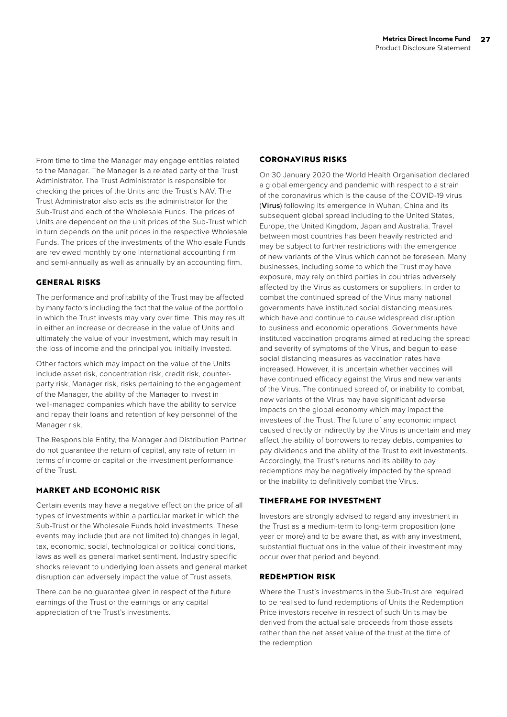From time to time the Manager may engage entities related to the Manager. The Manager is a related party of the Trust Administrator. The Trust Administrator is responsible for checking the prices of the Units and the Trust's NAV. The Trust Administrator also acts as the administrator for the Sub-Trust and each of the Wholesale Funds. The prices of Units are dependent on the unit prices of the Sub-Trust which in turn depends on the unit prices in the respective Wholesale Funds. The prices of the investments of the Wholesale Funds are reviewed monthly by one international accounting firm and semi-annually as well as annually by an accounting firm.

## **GENERAL RISKS**

The performance and profitability of the Trust may be affected by many factors including the fact that the value of the portfolio in which the Trust invests may vary over time. This may result in either an increase or decrease in the value of Units and ultimately the value of your investment, which may result in the loss of income and the principal you initially invested.

Other factors which may impact on the value of the Units include asset risk, concentration risk, credit risk, counterparty risk, Manager risk, risks pertaining to the engagement of the Manager, the ability of the Manager to invest in well-managed companies which have the ability to service and repay their loans and retention of key personnel of the Manager risk.

The Responsible Entity, the Manager and Distribution Partner do not guarantee the return of capital, any rate of return in terms of income or capital or the investment performance of the Trust.

## **MARKET AND ECONOMIC RISK**

Certain events may have a negative effect on the price of all types of investments within a particular market in which the Sub-Trust or the Wholesale Funds hold investments. These events may include (but are not limited to) changes in legal, tax, economic, social, technological or political conditions, laws as well as general market sentiment. Industry specific shocks relevant to underlying loan assets and general market disruption can adversely impact the value of Trust assets.

There can be no guarantee given in respect of the future earnings of the Trust or the earnings or any capital appreciation of the Trust's investments.

## **CORONAVIRUS RISKS**

On 30 January 2020 the World Health Organisation declared a global emergency and pandemic with respect to a strain of the coronavirus which is the cause of the COVID-19 virus (**Virus**) following its emergence in Wuhan, China and its subsequent global spread including to the United States, Europe, the United Kingdom, Japan and Australia. Travel between most countries has been heavily restricted and may be subject to further restrictions with the emergence of new variants of the Virus which cannot be foreseen. Many businesses, including some to which the Trust may have exposure, may rely on third parties in countries adversely affected by the Virus as customers or suppliers. In order to combat the continued spread of the Virus many national governments have instituted social distancing measures which have and continue to cause widespread disruption to business and economic operations. Governments have instituted vaccination programs aimed at reducing the spread and severity of symptoms of the Virus, and begun to ease social distancing measures as vaccination rates have increased. However, it is uncertain whether vaccines will have continued efficacy against the Virus and new variants of the Virus. The continued spread of, or inability to combat, new variants of the Virus may have significant adverse impacts on the global economy which may impact the investees of the Trust. The future of any economic impact caused directly or indirectly by the Virus is uncertain and may affect the ability of borrowers to repay debts, companies to pay dividends and the ability of the Trust to exit investments. Accordingly, the Trust's returns and its ability to pay redemptions may be negatively impacted by the spread or the inability to definitively combat the Virus.

## **TIMEFRAME FOR INVESTMENT**

Investors are strongly advised to regard any investment in the Trust as a medium-term to long-term proposition (one year or more) and to be aware that, as with any investment, substantial fluctuations in the value of their investment may occur over that period and beyond.

## **REDEMPTION RISK**

Where the Trust's investments in the Sub-Trust are required to be realised to fund redemptions of Units the Redemption Price investors receive in respect of such Units may be derived from the actual sale proceeds from those assets rather than the net asset value of the trust at the time of the redemption.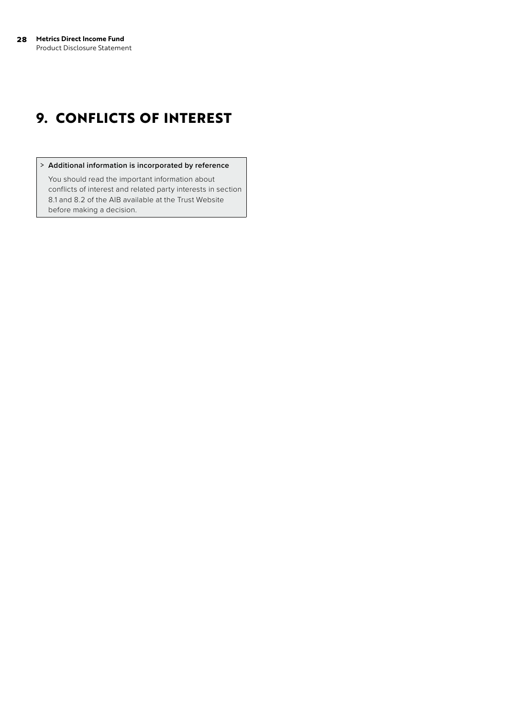## **9. CONFLICTS OF INTEREST**

## > **Additional information is incorporated by reference**

You should read the important information about conflicts of interest and related party interests in section 8.1 and 8.2 of the AIB available at the Trust Website before making a decision.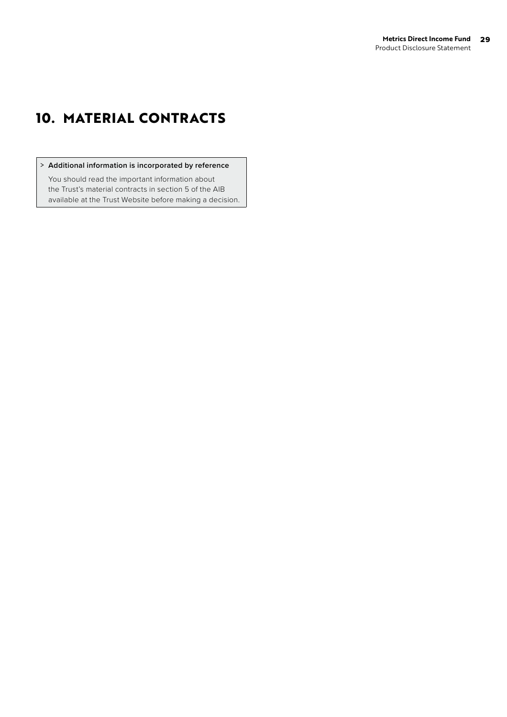## **10. MATERIAL CONTRACTS**

## > **Additional information is incorporated by reference**

You should read the important information about the Trust's material contracts in section 5 of the AIB available at the Trust Website before making a decision.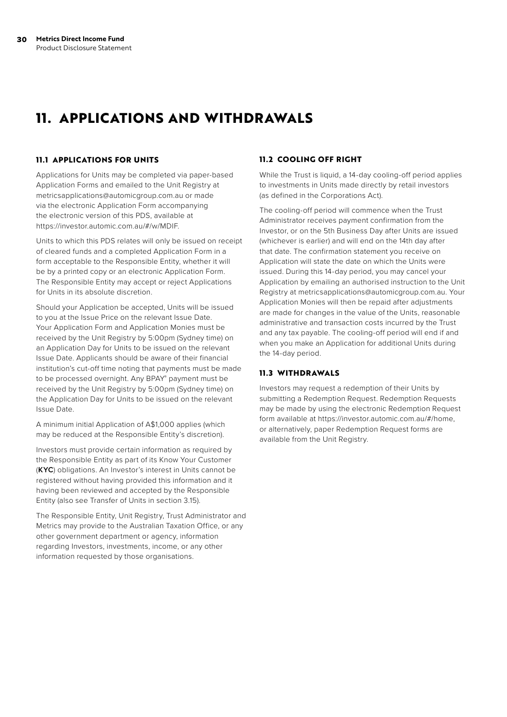## **11. APPLICATIONS AND WITHDRAWALS**

## **11.1 APPLICATIONS FOR UNITS**

Applications for Units may be completed via paper-based Application Forms and emailed to the Unit Registry at metricsapplications@automicgroup.com.au or made via the electronic Application Form accompanying the electronic version of this PDS, available at https://investor.automic.com.au/#/w/MDIF.

Units to which this PDS relates will only be issued on receipt of cleared funds and a completed Application Form in a form acceptable to the Responsible Entity, whether it will be by a printed copy or an electronic Application Form. The Responsible Entity may accept or reject Applications for Units in its absolute discretion.

Should your Application be accepted, Units will be issued to you at the Issue Price on the relevant Issue Date. Your Application Form and Application Monies must be received by the Unit Registry by 5:00pm (Sydney time) on an Application Day for Units to be issued on the relevant Issue Date. Applicants should be aware of their financial institution's cut-off time noting that payments must be made to be processed overnight. Any BPAY® payment must be received by the Unit Registry by 5:00pm (Sydney time) on the Application Day for Units to be issued on the relevant Issue Date.

A minimum initial Application of A\$1,000 applies (which may be reduced at the Responsible Entity's discretion).

Investors must provide certain information as required by the Responsible Entity as part of its Know Your Customer (**KYC**) obligations. An Investor's interest in Units cannot be registered without having provided this information and it having been reviewed and accepted by the Responsible Entity (also see Transfer of Units in section 3.15).

The Responsible Entity, Unit Registry, Trust Administrator and Metrics may provide to the Australian Taxation Office, or any other government department or agency, information regarding Investors, investments, income, or any other information requested by those organisations.

## **11.2 COOLING OFF RIGHT**

While the Trust is liquid, a 14-day cooling-off period applies to investments in Units made directly by retail investors (as defined in the Corporations Act).

The cooling-off period will commence when the Trust Administrator receives payment confirmation from the Investor, or on the 5th Business Day after Units are issued (whichever is earlier) and will end on the 14th day after that date. The confirmation statement you receive on Application will state the date on which the Units were issued. During this 14-day period, you may cancel your Application by emailing an authorised instruction to the Unit Registry at metricsapplications@automicgroup.com.au. Your Application Monies will then be repaid after adjustments are made for changes in the value of the Units, reasonable administrative and transaction costs incurred by the Trust and any tax payable. The cooling-off period will end if and when you make an Application for additional Units during the 14-day period.

## **11.3 WITHDRAWALS**

Investors may request a redemption of their Units by submitting a Redemption Request. Redemption Requests may be made by using the electronic Redemption Request form available at https://investor.automic.com.au/#/home, or alternatively, paper Redemption Request forms are available from the Unit Registry.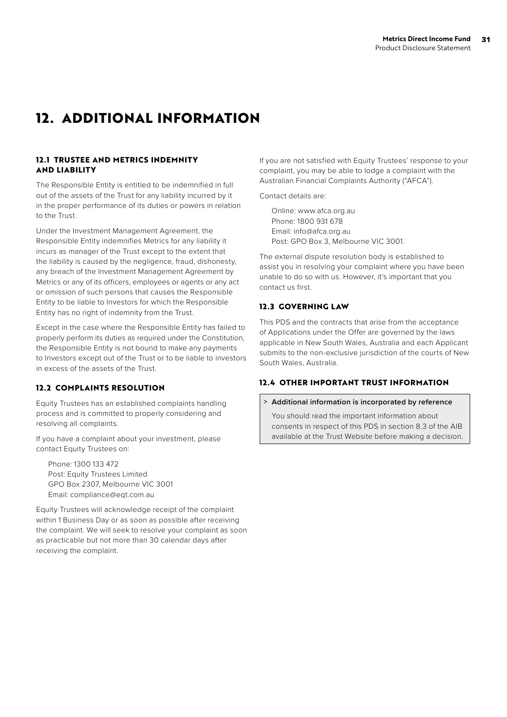## **12. ADDITIONAL INFORMATION**

## **12.1 TRUSTEE AND METRICS INDEMNITY AND LIABILITY**

The Responsible Entity is entitled to be indemnified in full out of the assets of the Trust for any liability incurred by it in the proper performance of its duties or powers in relation to the Trust.

Under the Investment Management Agreement, the Responsible Entity indemnifies Metrics for any liability it incurs as manager of the Trust except to the extent that the liability is caused by the negligence, fraud, dishonesty, any breach of the Investment Management Agreement by Metrics or any of its officers, employees or agents or any act or omission of such persons that causes the Responsible Entity to be liable to Investors for which the Responsible Entity has no right of indemnity from the Trust.

Except in the case where the Responsible Entity has failed to properly perform its duties as required under the Constitution, the Responsible Entity is not bound to make any payments to Investors except out of the Trust or to be liable to investors in excess of the assets of the Trust.

## **12.2 COMPLAINTS RESOLUTION**

Equity Trustees has an established complaints handling process and is committed to properly considering and resolving all complaints.

If you have a complaint about your investment, please contact Equity Trustees on:

Phone: 1300 133 472 Post: Equity Trustees Limited GPO Box 2307, Melbourne VIC 3001 Email: compliance@eqt.com.au

Equity Trustees will acknowledge receipt of the complaint within 1 Business Day or as soon as possible after receiving the complaint. We will seek to resolve your complaint as soon as practicable but not more than 30 calendar days after receiving the complaint.

If you are not satisfied with Equity Trustees' response to your complaint, you may be able to lodge a complaint with the Australian Financial Complaints Authority ("AFCA").

Contact details are:

Online: www.afca.org.au Phone: 1800 931 678 Email: info@afca.org.au Post: GPO Box 3, Melbourne VIC 3001.

The external dispute resolution body is established to assist you in resolving your complaint where you have been unable to do so with us. However, it's important that you contact us first.

## **12.3 GOVERNING LAW**

This PDS and the contracts that arise from the acceptance of Applications under the Offer are governed by the laws applicable in New South Wales, Australia and each Applicant submits to the non-exclusive jurisdiction of the courts of New South Wales, Australia.

## **12.4 OTHER IMPORTANT TRUST INFORMATION**

#### > **Additional information is incorporated by reference**

You should read the important information about consents in respect of this PDS in section 8.3 of the AIB available at the Trust Website before making a decision.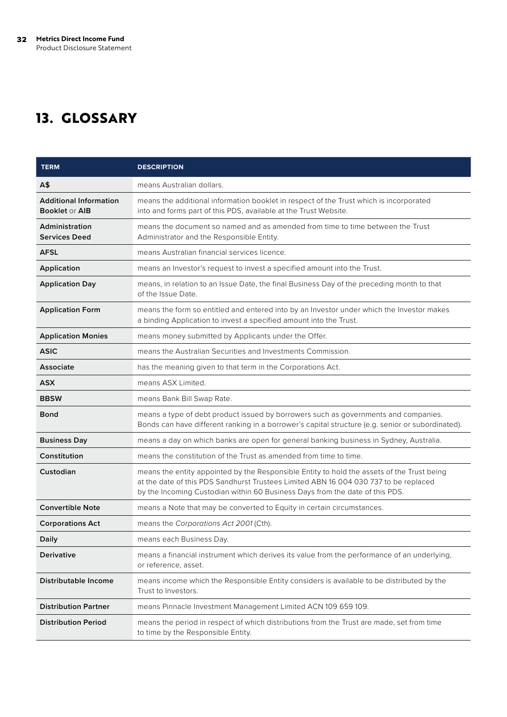## **13. GLOSSARY**

| <b>TERM</b>                                            | <b>DESCRIPTION</b>                                                                                                                                                                                                                                                 |
|--------------------------------------------------------|--------------------------------------------------------------------------------------------------------------------------------------------------------------------------------------------------------------------------------------------------------------------|
| A\$                                                    | means Australian dollars.                                                                                                                                                                                                                                          |
| <b>Additional Information</b><br><b>Booklet or AIB</b> | means the additional information booklet in respect of the Trust which is incorporated<br>into and forms part of this PDS, available at the Trust Website.                                                                                                         |
| Administration<br><b>Services Deed</b>                 | means the document so named and as amended from time to time between the Trust<br>Administrator and the Responsible Entity.                                                                                                                                        |
| <b>AFSL</b>                                            | means Australian financial services licence.                                                                                                                                                                                                                       |
| Application                                            | means an Investor's request to invest a specified amount into the Trust.                                                                                                                                                                                           |
| <b>Application Day</b>                                 | means, in relation to an Issue Date, the final Business Day of the preceding month to that<br>of the Issue Date.                                                                                                                                                   |
| <b>Application Form</b>                                | means the form so entitled and entered into by an Investor under which the Investor makes<br>a binding Application to invest a specified amount into the Trust.                                                                                                    |
| <b>Application Monies</b>                              | means money submitted by Applicants under the Offer.                                                                                                                                                                                                               |
| <b>ASIC</b>                                            | means the Australian Securities and Investments Commission.                                                                                                                                                                                                        |
| Associate                                              | has the meaning given to that term in the Corporations Act.                                                                                                                                                                                                        |
| <b>ASX</b>                                             | means ASX Limited.                                                                                                                                                                                                                                                 |
| <b>BBSW</b>                                            | means Bank Bill Swap Rate.                                                                                                                                                                                                                                         |
| <b>Bond</b>                                            | means a type of debt product issued by borrowers such as governments and companies.<br>Bonds can have different ranking in a borrower's capital structure (e.g. senior or subordinated).                                                                           |
| <b>Business Day</b>                                    | means a day on which banks are open for general banking business in Sydney, Australia.                                                                                                                                                                             |
| Constitution                                           | means the constitution of the Trust as amended from time to time.                                                                                                                                                                                                  |
| Custodian                                              | means the entity appointed by the Responsible Entity to hold the assets of the Trust being<br>at the date of this PDS Sandhurst Trustees Limited ABN 16 004 030 737 to be replaced<br>by the Incoming Custodian within 60 Business Days from the date of this PDS. |
| <b>Convertible Note</b>                                | means a Note that may be converted to Equity in certain circumstances.                                                                                                                                                                                             |
| <b>Corporations Act</b>                                | means the Corporations Act 2001 (Cth).                                                                                                                                                                                                                             |
| <b>Daily</b>                                           | means each Business Day.                                                                                                                                                                                                                                           |
| Derivative                                             | means a financial instrument which derives its value from the performance of an underlying,<br>or reference, asset.                                                                                                                                                |
| <b>Distributable Income</b>                            | means income which the Responsible Entity considers is available to be distributed by the<br>Trust to Investors.                                                                                                                                                   |
| <b>Distribution Partner</b>                            | means Pinnacle Investment Management Limited ACN 109 659 109.                                                                                                                                                                                                      |
| <b>Distribution Period</b>                             | means the period in respect of which distributions from the Trust are made, set from time<br>to time by the Responsible Entity.                                                                                                                                    |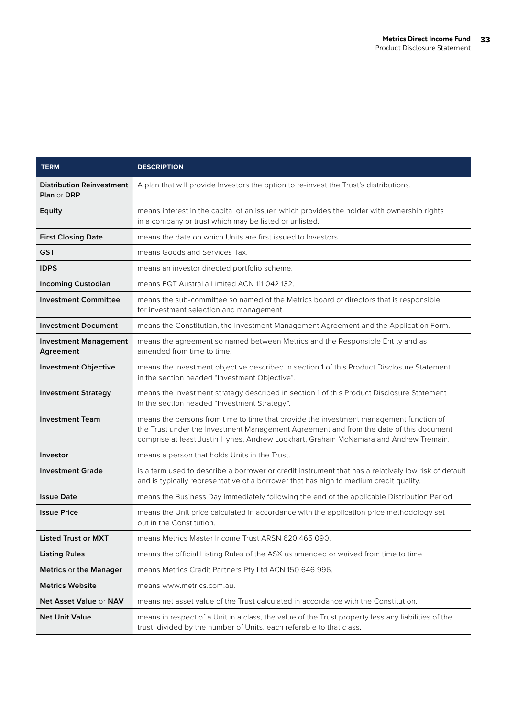| <b>TERM</b>                                            | <b>DESCRIPTION</b>                                                                                                                                                                                                                                                       |
|--------------------------------------------------------|--------------------------------------------------------------------------------------------------------------------------------------------------------------------------------------------------------------------------------------------------------------------------|
| <b>Distribution Reinvestment</b><br><b>Plan or DRP</b> | A plan that will provide Investors the option to re-invest the Trust's distributions.                                                                                                                                                                                    |
| Equity                                                 | means interest in the capital of an issuer, which provides the holder with ownership rights<br>in a company or trust which may be listed or unlisted.                                                                                                                    |
| <b>First Closing Date</b>                              | means the date on which Units are first issued to Investors.                                                                                                                                                                                                             |
| <b>GST</b>                                             | means Goods and Services Tax.                                                                                                                                                                                                                                            |
| <b>IDPS</b>                                            | means an investor directed portfolio scheme.                                                                                                                                                                                                                             |
| <b>Incoming Custodian</b>                              | means EQT Australia Limited ACN 111 042 132.                                                                                                                                                                                                                             |
| <b>Investment Committee</b>                            | means the sub-committee so named of the Metrics board of directors that is responsible<br>for investment selection and management.                                                                                                                                       |
| <b>Investment Document</b>                             | means the Constitution, the Investment Management Agreement and the Application Form.                                                                                                                                                                                    |
| <b>Investment Management</b><br>Agreement              | means the agreement so named between Metrics and the Responsible Entity and as<br>amended from time to time.                                                                                                                                                             |
| <b>Investment Objective</b>                            | means the investment objective described in section 1 of this Product Disclosure Statement<br>in the section headed "Investment Objective".                                                                                                                              |
| <b>Investment Strategy</b>                             | means the investment strategy described in section 1 of this Product Disclosure Statement<br>in the section headed "Investment Strategy".                                                                                                                                |
| <b>Investment Team</b>                                 | means the persons from time to time that provide the investment management function of<br>the Trust under the Investment Management Agreement and from the date of this document<br>comprise at least Justin Hynes, Andrew Lockhart, Graham McNamara and Andrew Tremain. |
| Investor                                               | means a person that holds Units in the Trust.                                                                                                                                                                                                                            |
| <b>Investment Grade</b>                                | is a term used to describe a borrower or credit instrument that has a relatively low risk of default<br>and is typically representative of a borrower that has high to medium credit quality.                                                                            |
| <b>Issue Date</b>                                      | means the Business Day immediately following the end of the applicable Distribution Period.                                                                                                                                                                              |
| <b>Issue Price</b>                                     | means the Unit price calculated in accordance with the application price methodology set<br>out in the Constitution.                                                                                                                                                     |
| <b>Listed Trust or MXT</b>                             | means Metrics Master Income Trust ARSN 620 465 090.                                                                                                                                                                                                                      |
| <b>Listing Rules</b>                                   | means the official Listing Rules of the ASX as amended or waived from time to time.                                                                                                                                                                                      |
| Metrics or the Manager                                 | means Metrics Credit Partners Pty Ltd ACN 150 646 996.                                                                                                                                                                                                                   |
| <b>Metrics Website</b>                                 | means www.metrics.com.au.                                                                                                                                                                                                                                                |
| Net Asset Value or NAV                                 | means net asset value of the Trust calculated in accordance with the Constitution.                                                                                                                                                                                       |
| <b>Net Unit Value</b>                                  | means in respect of a Unit in a class, the value of the Trust property less any liabilities of the<br>trust, divided by the number of Units, each referable to that class.                                                                                               |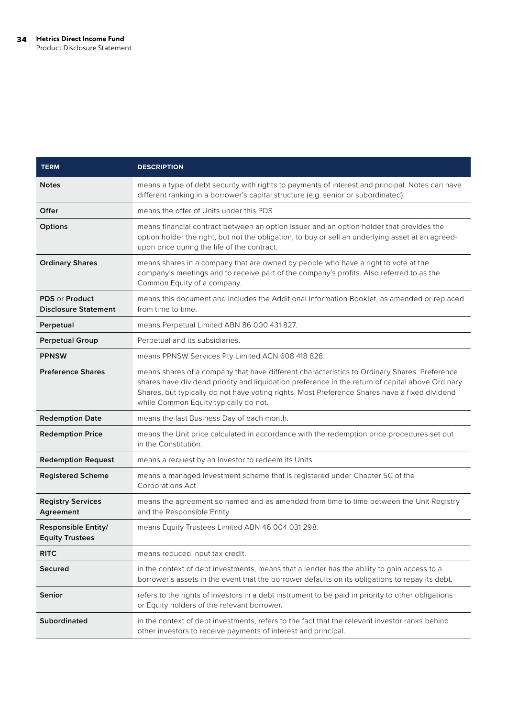| <b>TERM</b>                                          | <b>DESCRIPTION</b>                                                                                                                                                                                                                                                                                                                         |
|------------------------------------------------------|--------------------------------------------------------------------------------------------------------------------------------------------------------------------------------------------------------------------------------------------------------------------------------------------------------------------------------------------|
| <b>Notes</b>                                         | means a type of debt security with rights to payments of interest and principal. Notes can have<br>different ranking in a borrower's capital structure (e.g. senior or subordinated).                                                                                                                                                      |
| Offer                                                | means the offer of Units under this PDS.                                                                                                                                                                                                                                                                                                   |
| Options                                              | means financial contract between an option issuer and an option holder that provides the<br>option holder the right, but not the obligation, to buy or sell an underlying asset at an agreed-<br>upon price during the life of the contract.                                                                                               |
| <b>Ordinary Shares</b>                               | means shares in a company that are owned by people who have a right to vote at the<br>company's meetings and to receive part of the company's profits. Also referred to as the<br>Common Equity of a company.                                                                                                                              |
| <b>PDS or Product</b><br><b>Disclosure Statement</b> | means this document and includes the Additional Information Booklet, as amended or replaced<br>from time to time.                                                                                                                                                                                                                          |
| Perpetual                                            | means Perpetual Limited ABN 86 000 431 827.                                                                                                                                                                                                                                                                                                |
| <b>Perpetual Group</b>                               | Perpetual and its subsidiaries.                                                                                                                                                                                                                                                                                                            |
| <b>PPNSW</b>                                         | means PPNSW Services Pty Limited ACN 608 418 828.                                                                                                                                                                                                                                                                                          |
| <b>Preference Shares</b>                             | means shares of a company that have different characteristics to Ordinary Shares. Preference<br>shares have dividend priority and liquidation preference in the return of capital above Ordinary<br>Shares, but typically do not have voting rights. Most Preference Shares have a fixed dividend<br>while Common Equity typically do not. |
| <b>Redemption Date</b>                               | means the last Business Day of each month.                                                                                                                                                                                                                                                                                                 |
| <b>Redemption Price</b>                              | means the Unit price calculated in accordance with the redemption price procedures set out<br>in the Constitution.                                                                                                                                                                                                                         |
| <b>Redemption Request</b>                            | means a request by an Investor to redeem its Units.                                                                                                                                                                                                                                                                                        |
| <b>Registered Scheme</b>                             | means a managed investment scheme that is registered under Chapter 5C of the<br>Corporations Act.                                                                                                                                                                                                                                          |
| <b>Registry Services</b><br>Agreement                | means the agreement so named and as amended from time to time between the Unit Registry<br>and the Responsible Entity.                                                                                                                                                                                                                     |
| <b>Responsible Entity/</b><br><b>Equity Trustees</b> | means Equity Trustees Limited ABN 46 004 031 298.                                                                                                                                                                                                                                                                                          |
| <b>RITC</b>                                          | means reduced input tax credit.                                                                                                                                                                                                                                                                                                            |
| Secured                                              | in the context of debt investments, means that a lender has the ability to gain access to a<br>borrower's assets in the event that the borrower defaults on its obligations to repay its debt.                                                                                                                                             |
| Senior                                               | refers to the rights of investors in a debt instrument to be paid in priority to other obligations<br>or Equity holders of the relevant borrower.                                                                                                                                                                                          |
| Subordinated                                         | in the context of debt investments, refers to the fact that the relevant investor ranks behind<br>other investors to receive payments of interest and principal.                                                                                                                                                                           |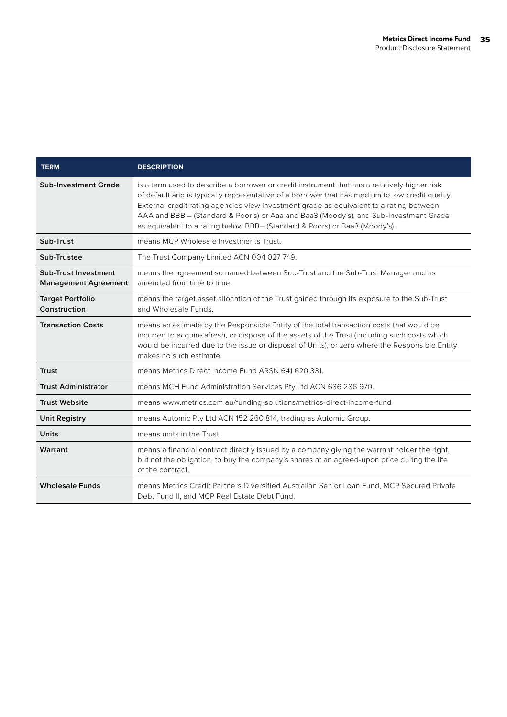| <b>TERM</b>                                                | <b>DESCRIPTION</b>                                                                                                                                                                                                                                                                                                                                                                                                                                                |
|------------------------------------------------------------|-------------------------------------------------------------------------------------------------------------------------------------------------------------------------------------------------------------------------------------------------------------------------------------------------------------------------------------------------------------------------------------------------------------------------------------------------------------------|
| <b>Sub-Investment Grade</b>                                | is a term used to describe a borrower or credit instrument that has a relatively higher risk<br>of default and is typically representative of a borrower that has medium to low credit quality.<br>External credit rating agencies view investment grade as equivalent to a rating between<br>AAA and BBB - (Standard & Poor's) or Aaa and Baa3 (Moody's), and Sub-Investment Grade<br>as equivalent to a rating below BBB- (Standard & Poors) or Baa3 (Moody's). |
| Sub-Trust                                                  | means MCP Wholesale Investments Trust.                                                                                                                                                                                                                                                                                                                                                                                                                            |
| Sub-Trustee                                                | The Trust Company Limited ACN 004 027 749.                                                                                                                                                                                                                                                                                                                                                                                                                        |
| <b>Sub-Trust Investment</b><br><b>Management Agreement</b> | means the agreement so named between Sub-Trust and the Sub-Trust Manager and as<br>amended from time to time.                                                                                                                                                                                                                                                                                                                                                     |
| <b>Target Portfolio</b><br>Construction                    | means the target asset allocation of the Trust gained through its exposure to the Sub-Trust<br>and Wholesale Funds.                                                                                                                                                                                                                                                                                                                                               |
| <b>Transaction Costs</b>                                   | means an estimate by the Responsible Entity of the total transaction costs that would be<br>incurred to acquire afresh, or dispose of the assets of the Trust (including such costs which<br>would be incurred due to the issue or disposal of Units), or zero where the Responsible Entity<br>makes no such estimate.                                                                                                                                            |
| <b>Trust</b>                                               | means Metrics Direct Income Fund ARSN 641 620 331.                                                                                                                                                                                                                                                                                                                                                                                                                |
| <b>Trust Administrator</b>                                 | means MCH Fund Administration Services Pty Ltd ACN 636 286 970.                                                                                                                                                                                                                                                                                                                                                                                                   |
| <b>Trust Website</b>                                       | means www.metrics.com.au/funding-solutions/metrics-direct-income-fund                                                                                                                                                                                                                                                                                                                                                                                             |
| <b>Unit Registry</b>                                       | means Automic Pty Ltd ACN 152 260 814, trading as Automic Group.                                                                                                                                                                                                                                                                                                                                                                                                  |
| <b>Units</b>                                               | means units in the Trust.                                                                                                                                                                                                                                                                                                                                                                                                                                         |
| Warrant                                                    | means a financial contract directly issued by a company giving the warrant holder the right,<br>but not the obligation, to buy the company's shares at an agreed-upon price during the life<br>of the contract.                                                                                                                                                                                                                                                   |
| <b>Wholesale Funds</b>                                     | means Metrics Credit Partners Diversified Australian Senior Loan Fund, MCP Secured Private<br>Debt Fund II, and MCP Real Estate Debt Fund.                                                                                                                                                                                                                                                                                                                        |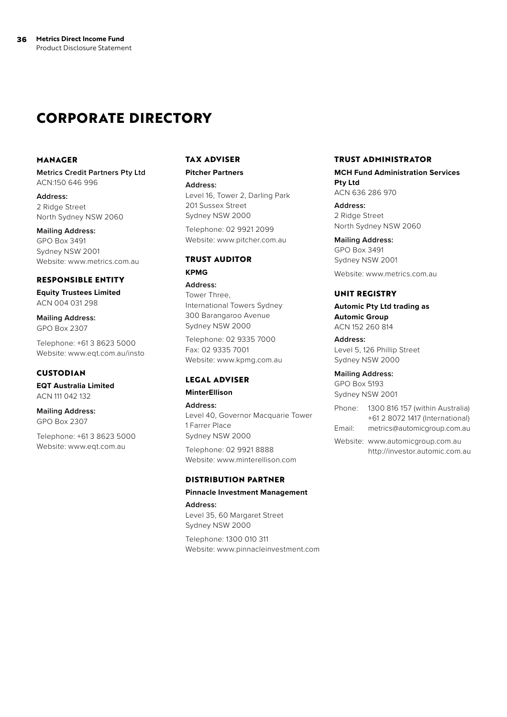## **CORPORATE DIRECTORY**

### **MANAGER**

**Metrics Credit Partners Pty Ltd** ACN:150 646 996

**Address:** 2 Ridge Street North Sydney NSW 2060

**Mailing Address:** GPO Box 3491

Sydney NSW 2001 Website: www.metrics.com.au

## **RESPONSIBLE ENTITY**

**Equity Trustees Limited** ACN 004 031 298

**Mailing Address:**  GPO Box 2307

Telephone: +61 3 8623 5000 Website: www.eqt.com.au/insto

## **CUSTODIAN**

**EQT Australia Limited** ACN 111 042 132

**Mailing Address:**  GPO Box 2307

Telephone: +61 3 8623 5000 Website: www.eqt.com.au

### **TAX ADVISER**

**Pitcher Partners**

**Address:**  Level 16, Tower 2, Darling Park 201 Sussex Street Sydney NSW 2000

Telephone: 02 9921 2099 Website: www.pitcher.com.au

## **TRUST AUDITOR KPMG**

**Address:** Tower Three, International Towers Sydney 300 Barangaroo Avenue Sydney NSW 2000

Telephone: 02 9335 7000 Fax: 02 9335 7001 Website: www.kpmg.com.au

## **LEGAL ADVISER**

**MinterEllison**

**Address:** 

Level 40, Governor Macquarie Tower 1 Farrer Place Sydney NSW 2000 Telephone: 02 9921 8888

Website: www.minterellison.com

## **DISTRIBUTION PARTNER**

## **Pinnacle Investment Management**

**Address:**  Level 35, 60 Margaret Street Sydney NSW 2000

Telephone: 1300 010 311 Website: www.pinnacleinvestment.com

## **TRUST ADMINISTRATOR**

**MCH Fund Administration Services Pty Ltd** ACN 636 286 970

**Address:** 2 Ridge Street North Sydney NSW 2060

**Mailing Address:** GPO Box 3491 Sydney NSW 2001

Website: www.metrics.com.au

## **UNIT REGISTRY**

**Automic Pty Ltd trading as Automic Group** ACN 152 260 814

**Address:**  Level 5, 126 Phillip Street Sydney NSW 2000

**Mailing Address:** 

GPO Box 5193 Sydney NSW 2001

Phone: 1300 816 157 (within Australia) +61 2 8072 1417 (International) Email: metrics@automicgroup.com.au Website: www.automicgroup.com.au

http://investor.automic.com.au